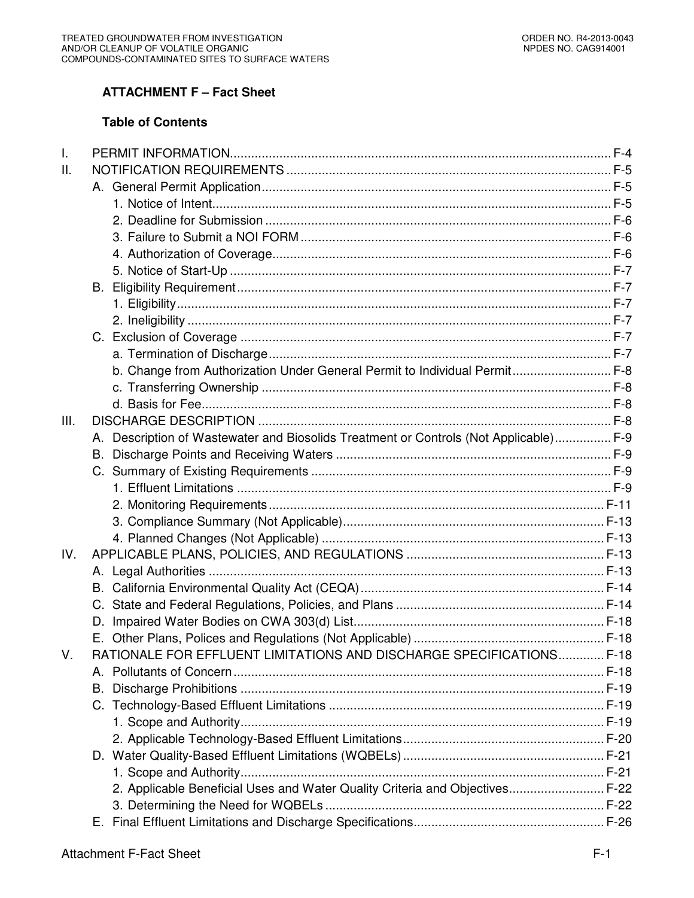# **ATTACHMENT F – Fact Sheet**

# **Table of Contents**

| $\mathbf{I}$ . |                                                                                       |  |
|----------------|---------------------------------------------------------------------------------------|--|
| Ш.             |                                                                                       |  |
|                |                                                                                       |  |
|                |                                                                                       |  |
|                |                                                                                       |  |
|                |                                                                                       |  |
|                |                                                                                       |  |
|                |                                                                                       |  |
|                |                                                                                       |  |
|                |                                                                                       |  |
|                |                                                                                       |  |
|                |                                                                                       |  |
|                |                                                                                       |  |
|                | b. Change from Authorization Under General Permit to Individual Permit F-8            |  |
|                |                                                                                       |  |
|                |                                                                                       |  |
| III.           |                                                                                       |  |
|                | A. Description of Wastewater and Biosolids Treatment or Controls (Not Applicable) F-9 |  |
|                | B.                                                                                    |  |
|                |                                                                                       |  |
|                |                                                                                       |  |
|                |                                                                                       |  |
|                |                                                                                       |  |
|                |                                                                                       |  |
| IV.            |                                                                                       |  |
|                |                                                                                       |  |
|                |                                                                                       |  |
|                |                                                                                       |  |
|                |                                                                                       |  |
|                |                                                                                       |  |
| V.             | RATIONALE FOR EFFLUENT LIMITATIONS AND DISCHARGE SPECIFICATIONS F-18                  |  |
|                |                                                                                       |  |
|                | В.                                                                                    |  |
|                |                                                                                       |  |
|                |                                                                                       |  |
|                |                                                                                       |  |
|                |                                                                                       |  |
|                |                                                                                       |  |
|                | 2. Applicable Beneficial Uses and Water Quality Criteria and Objectives F-22          |  |
|                |                                                                                       |  |
|                |                                                                                       |  |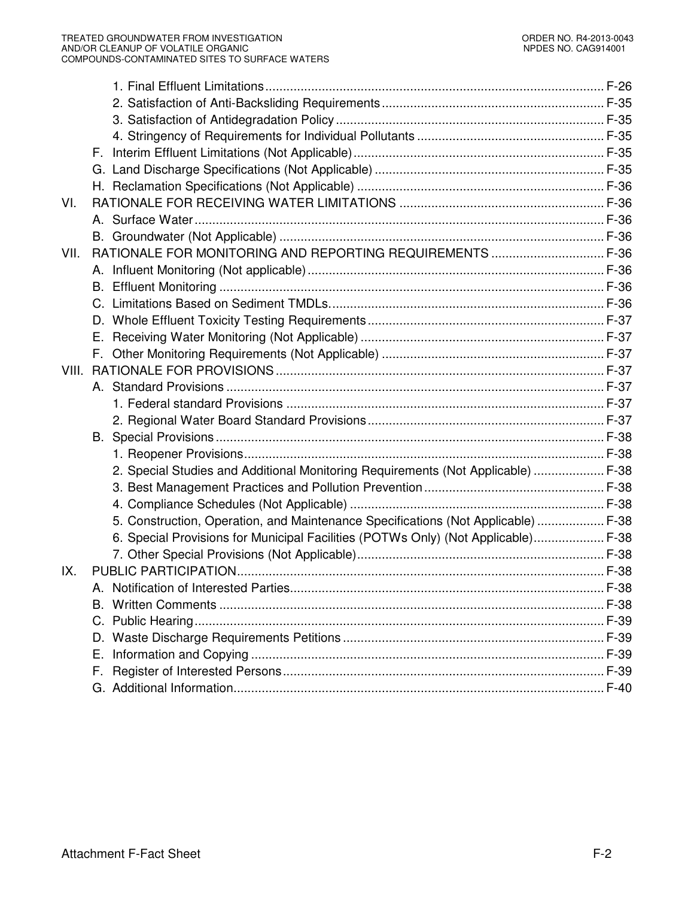| VI.   |                                                                                   |  |
|-------|-----------------------------------------------------------------------------------|--|
|       |                                                                                   |  |
|       |                                                                                   |  |
| VII.  | RATIONALE FOR MONITORING AND REPORTING REQUIREMENTS  F-36                         |  |
|       |                                                                                   |  |
|       |                                                                                   |  |
|       |                                                                                   |  |
|       |                                                                                   |  |
|       |                                                                                   |  |
|       |                                                                                   |  |
| VIII. |                                                                                   |  |
|       |                                                                                   |  |
|       |                                                                                   |  |
|       |                                                                                   |  |
|       |                                                                                   |  |
|       |                                                                                   |  |
|       | 2. Special Studies and Additional Monitoring Requirements (Not Applicable)  F-38  |  |
|       |                                                                                   |  |
|       |                                                                                   |  |
|       | 5. Construction, Operation, and Maintenance Specifications (Not Applicable)  F-38 |  |
|       | 6. Special Provisions for Municipal Facilities (POTWs Only) (Not Applicable) F-38 |  |
|       |                                                                                   |  |
| IX.   |                                                                                   |  |
|       |                                                                                   |  |
|       |                                                                                   |  |
|       |                                                                                   |  |
|       |                                                                                   |  |
|       | Е.                                                                                |  |
|       | F.                                                                                |  |
|       |                                                                                   |  |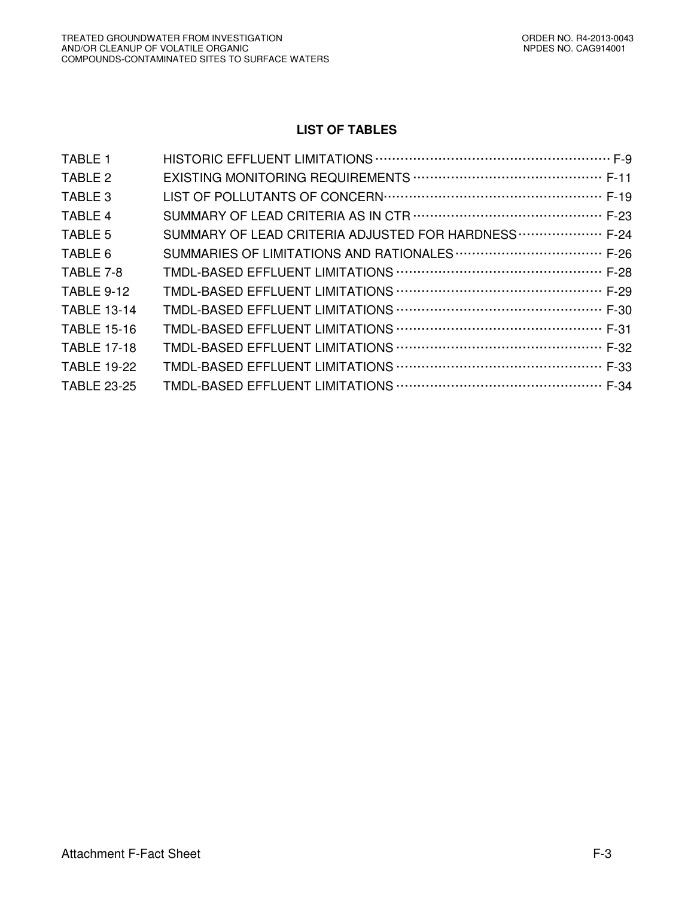# **LIST OF TABLES**

| TABLE 1            |                                                      |
|--------------------|------------------------------------------------------|
| TABLE 2            |                                                      |
| TABLE 3            |                                                      |
| TABLE 4            |                                                      |
| TABLE 5            | SUMMARY OF LEAD CRITERIA ADJUSTED FOR HARDNESS  F-24 |
| TABLE 6            |                                                      |
| TABLE 7-8          |                                                      |
| <b>TABLE 9-12</b>  |                                                      |
| <b>TABLE 13-14</b> |                                                      |
| <b>TABLE 15-16</b> |                                                      |
| <b>TABLE 17-18</b> |                                                      |
| <b>TABLE 19-22</b> |                                                      |
| <b>TABLE 23-25</b> |                                                      |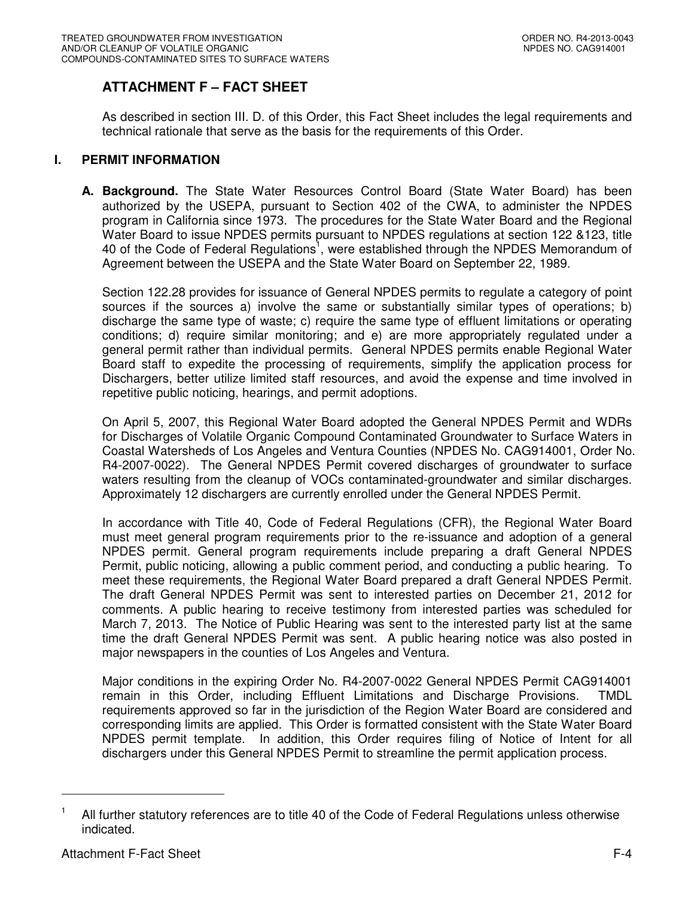# **ATTACHMENT F – FACT SHEET**

As described in section III. D. of this Order, this Fact Sheet includes the legal requirements and technical rationale that serve as the basis for the requirements of this Order.

# **I. PERMIT INFORMATION**

**A. Background.** The State Water Resources Control Board (State Water Board) has been authorized by the USEPA, pursuant to Section 402 of the CWA, to administer the NPDES program in California since 1973. The procedures for the State Water Board and the Regional Water Board to issue NPDES permits pursuant to NPDES regulations at section 122 &123, title 40 of the Code of Federal Regulations<sup>1</sup>, were established through the NPDES Memorandum of Agreement between the USEPA and the State Water Board on September 22, 1989.

Section 122.28 provides for issuance of General NPDES permits to regulate a category of point sources if the sources a) involve the same or substantially similar types of operations; b) discharge the same type of waste; c) require the same type of effluent limitations or operating conditions; d) require similar monitoring; and e) are more appropriately regulated under a general permit rather than individual permits. General NPDES permits enable Regional Water Board staff to expedite the processing of requirements, simplify the application process for Dischargers, better utilize limited staff resources, and avoid the expense and time involved in repetitive public noticing, hearings, and permit adoptions.

On April 5, 2007, this Regional Water Board adopted the General NPDES Permit and WDRs for Discharges of Volatile Organic Compound Contaminated Groundwater to Surface Waters in Coastal Watersheds of Los Angeles and Ventura Counties (NPDES No. CAG914001, Order No. R4-2007-0022). The General NPDES Permit covered discharges of groundwater to surface waters resulting from the cleanup of VOCs contaminated-groundwater and similar discharges. Approximately 12 dischargers are currently enrolled under the General NPDES Permit.

In accordance with Title 40, Code of Federal Regulations (CFR), the Regional Water Board must meet general program requirements prior to the re-issuance and adoption of a general NPDES permit. General program requirements include preparing a draft General NPDES Permit, public noticing, allowing a public comment period, and conducting a public hearing. To meet these requirements, the Regional Water Board prepared a draft General NPDES Permit. The draft General NPDES Permit was sent to interested parties on December 21, 2012 for comments. A public hearing to receive testimony from interested parties was scheduled for March 7, 2013. The Notice of Public Hearing was sent to the interested party list at the same time the draft General NPDES Permit was sent. A public hearing notice was also posted in major newspapers in the counties of Los Angeles and Ventura.

Major conditions in the expiring Order No. R4-2007-0022 General NPDES Permit CAG914001 remain in this Order, including Effluent Limitations and Discharge Provisions. TMDL requirements approved so far in the jurisdiction of the Region Water Board are considered and corresponding limits are applied. This Order is formatted consistent with the State Water Board NPDES permit template. In addition, this Order requires filing of Notice of Intent for all dischargers under this General NPDES Permit to streamline the permit application process.

<sup>1</sup> All further statutory references are to title 40 of the Code of Federal Regulations unless otherwise indicated.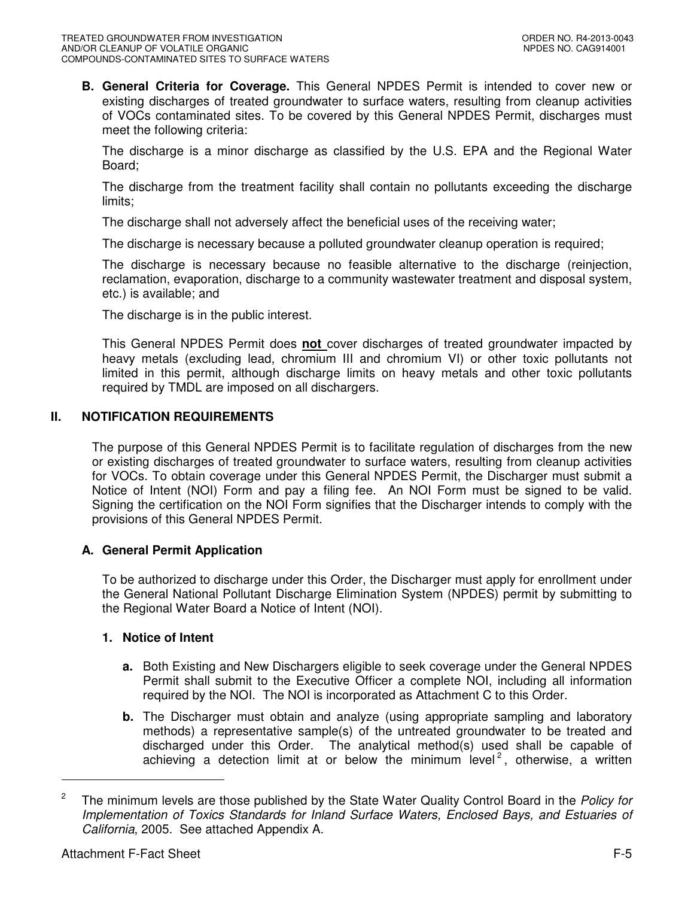**B. General Criteria for Coverage.** This General NPDES Permit is intended to cover new or existing discharges of treated groundwater to surface waters, resulting from cleanup activities of VOCs contaminated sites. To be covered by this General NPDES Permit, discharges must meet the following criteria:

The discharge is a minor discharge as classified by the U.S. EPA and the Regional Water Board;

The discharge from the treatment facility shall contain no pollutants exceeding the discharge limits;

The discharge shall not adversely affect the beneficial uses of the receiving water;

The discharge is necessary because a polluted groundwater cleanup operation is required;

The discharge is necessary because no feasible alternative to the discharge (reinjection, reclamation, evaporation, discharge to a community wastewater treatment and disposal system, etc.) is available; and

The discharge is in the public interest.

This General NPDES Permit does **not** cover discharges of treated groundwater impacted by heavy metals (excluding lead, chromium III and chromium VI) or other toxic pollutants not limited in this permit, although discharge limits on heavy metals and other toxic pollutants required by TMDL are imposed on all dischargers.

# **II. NOTIFICATION REQUIREMENTS**

The purpose of this General NPDES Permit is to facilitate regulation of discharges from the new or existing discharges of treated groundwater to surface waters, resulting from cleanup activities for VOCs. To obtain coverage under this General NPDES Permit, the Discharger must submit a Notice of Intent (NOI) Form and pay a filing fee. An NOI Form must be signed to be valid. Signing the certification on the NOI Form signifies that the Discharger intends to comply with the provisions of this General NPDES Permit.

# **A. General Permit Application**

To be authorized to discharge under this Order, the Discharger must apply for enrollment under the General National Pollutant Discharge Elimination System (NPDES) permit by submitting to the Regional Water Board a Notice of Intent (NOI).

### **1. Notice of Intent**

- **a.** Both Existing and New Dischargers eligible to seek coverage under the General NPDES Permit shall submit to the Executive Officer a complete NOI, including all information required by the NOI. The NOI is incorporated as Attachment C to this Order.
- **b.** The Discharger must obtain and analyze (using appropriate sampling and laboratory methods) a representative sample(s) of the untreated groundwater to be treated and discharged under this Order. The analytical method(s) used shall be capable of achieving a detection limit at or below the minimum level<sup>2</sup>, otherwise, a written

<sup>2</sup> The minimum levels are those published by the State Water Quality Control Board in the Policy for Implementation of Toxics Standards for Inland Surface Waters, Enclosed Bays, and Estuaries of California, 2005. See attached Appendix A.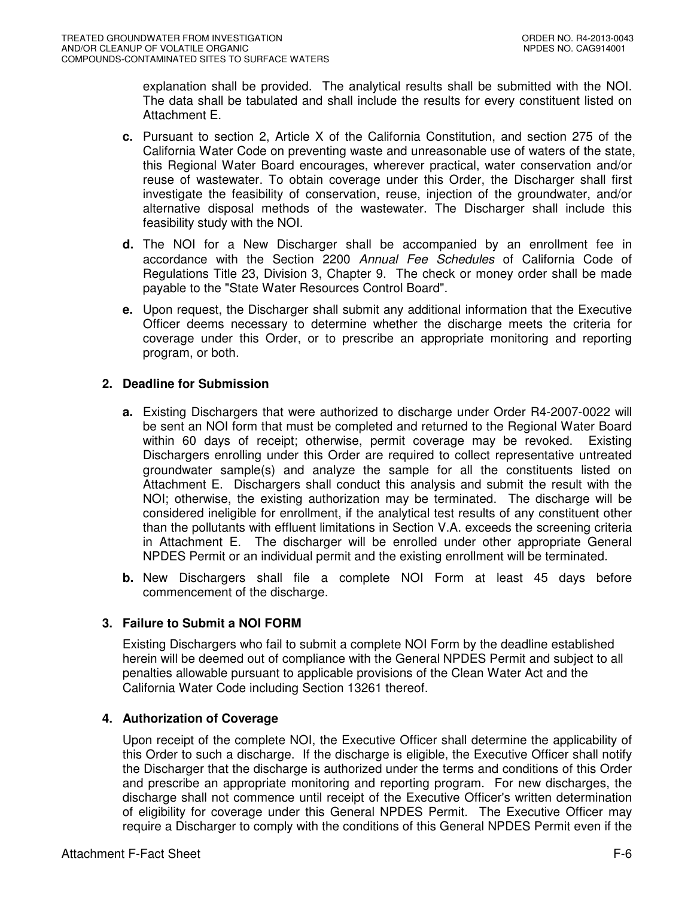explanation shall be provided. The analytical results shall be submitted with the NOI. The data shall be tabulated and shall include the results for every constituent listed on Attachment E.

- **c.** Pursuant to section 2, Article X of the California Constitution, and section 275 of the California Water Code on preventing waste and unreasonable use of waters of the state, this Regional Water Board encourages, wherever practical, water conservation and/or reuse of wastewater. To obtain coverage under this Order, the Discharger shall first investigate the feasibility of conservation, reuse, injection of the groundwater, and/or alternative disposal methods of the wastewater. The Discharger shall include this feasibility study with the NOI.
- **d.** The NOI for a New Discharger shall be accompanied by an enrollment fee in accordance with the Section 2200 Annual Fee Schedules of California Code of Regulations Title 23, Division 3, Chapter 9. The check or money order shall be made payable to the "State Water Resources Control Board".
- **e.** Upon request, the Discharger shall submit any additional information that the Executive Officer deems necessary to determine whether the discharge meets the criteria for coverage under this Order, or to prescribe an appropriate monitoring and reporting program, or both.

# **2. Deadline for Submission**

- **a.** Existing Dischargers that were authorized to discharge under Order R4-2007-0022 will be sent an NOI form that must be completed and returned to the Regional Water Board within 60 days of receipt; otherwise, permit coverage may be revoked. Existing Dischargers enrolling under this Order are required to collect representative untreated groundwater sample(s) and analyze the sample for all the constituents listed on Attachment E. Dischargers shall conduct this analysis and submit the result with the NOI; otherwise, the existing authorization may be terminated. The discharge will be considered ineligible for enrollment, if the analytical test results of any constituent other than the pollutants with effluent limitations in Section V.A. exceeds the screening criteria in Attachment E. The discharger will be enrolled under other appropriate General NPDES Permit or an individual permit and the existing enrollment will be terminated.
- **b.** New Dischargers shall file a complete NOI Form at least 45 days before commencement of the discharge.

# **3. Failure to Submit a NOI FORM**

Existing Dischargers who fail to submit a complete NOI Form by the deadline established herein will be deemed out of compliance with the General NPDES Permit and subject to all penalties allowable pursuant to applicable provisions of the Clean Water Act and the California Water Code including Section 13261 thereof.

# **4. Authorization of Coverage**

Upon receipt of the complete NOI, the Executive Officer shall determine the applicability of this Order to such a discharge. If the discharge is eligible, the Executive Officer shall notify the Discharger that the discharge is authorized under the terms and conditions of this Order and prescribe an appropriate monitoring and reporting program. For new discharges, the discharge shall not commence until receipt of the Executive Officer's written determination of eligibility for coverage under this General NPDES Permit. The Executive Officer may require a Discharger to comply with the conditions of this General NPDES Permit even if the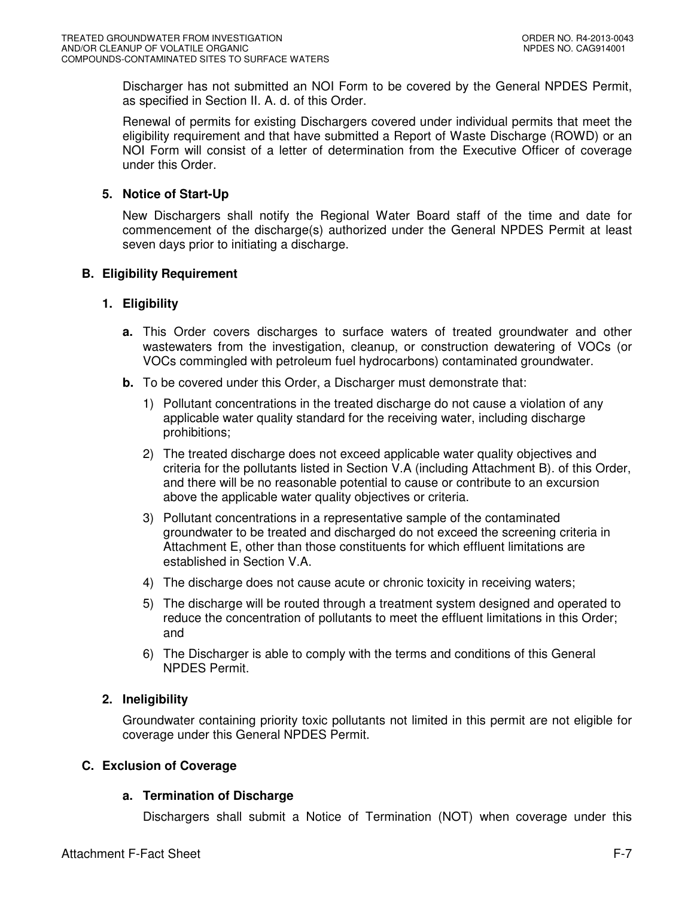Discharger has not submitted an NOI Form to be covered by the General NPDES Permit, as specified in Section II. A. d. of this Order.

Renewal of permits for existing Dischargers covered under individual permits that meet the eligibility requirement and that have submitted a Report of Waste Discharge (ROWD) or an NOI Form will consist of a letter of determination from the Executive Officer of coverage under this Order.

# **5. Notice of Start-Up**

New Dischargers shall notify the Regional Water Board staff of the time and date for commencement of the discharge(s) authorized under the General NPDES Permit at least seven days prior to initiating a discharge.

### **B. Eligibility Requirement**

### **1. Eligibility**

- **a.** This Order covers discharges to surface waters of treated groundwater and other wastewaters from the investigation, cleanup, or construction dewatering of VOCs (or VOCs commingled with petroleum fuel hydrocarbons) contaminated groundwater.
- **b.** To be covered under this Order, a Discharger must demonstrate that:
	- 1) Pollutant concentrations in the treated discharge do not cause a violation of any applicable water quality standard for the receiving water, including discharge prohibitions;
	- 2) The treated discharge does not exceed applicable water quality objectives and criteria for the pollutants listed in Section V.A (including Attachment B). of this Order, and there will be no reasonable potential to cause or contribute to an excursion above the applicable water quality objectives or criteria.
	- 3) Pollutant concentrations in a representative sample of the contaminated groundwater to be treated and discharged do not exceed the screening criteria in Attachment E, other than those constituents for which effluent limitations are established in Section V.A.
	- 4) The discharge does not cause acute or chronic toxicity in receiving waters;
	- 5) The discharge will be routed through a treatment system designed and operated to reduce the concentration of pollutants to meet the effluent limitations in this Order; and
	- 6) The Discharger is able to comply with the terms and conditions of this General NPDES Permit.

# **2. Ineligibility**

Groundwater containing priority toxic pollutants not limited in this permit are not eligible for coverage under this General NPDES Permit.

# **C. Exclusion of Coverage**

### **a. Termination of Discharge**

Dischargers shall submit a Notice of Termination (NOT) when coverage under this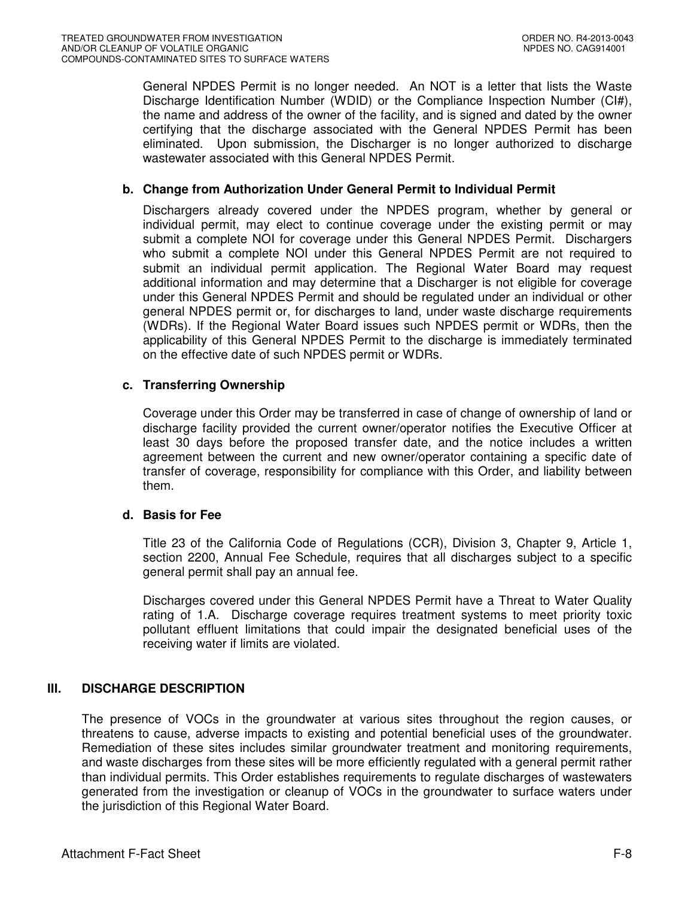General NPDES Permit is no longer needed. An NOT is a letter that lists the Waste Discharge Identification Number (WDID) or the Compliance Inspection Number (CI#), the name and address of the owner of the facility, and is signed and dated by the owner certifying that the discharge associated with the General NPDES Permit has been eliminated. Upon submission, the Discharger is no longer authorized to discharge wastewater associated with this General NPDES Permit.

### **b. Change from Authorization Under General Permit to Individual Permit**

Dischargers already covered under the NPDES program, whether by general or individual permit, may elect to continue coverage under the existing permit or may submit a complete NOI for coverage under this General NPDES Permit. Dischargers who submit a complete NOI under this General NPDES Permit are not required to submit an individual permit application. The Regional Water Board may request additional information and may determine that a Discharger is not eligible for coverage under this General NPDES Permit and should be regulated under an individual or other general NPDES permit or, for discharges to land, under waste discharge requirements (WDRs). If the Regional Water Board issues such NPDES permit or WDRs, then the applicability of this General NPDES Permit to the discharge is immediately terminated on the effective date of such NPDES permit or WDRs.

### **c. Transferring Ownership**

Coverage under this Order may be transferred in case of change of ownership of land or discharge facility provided the current owner/operator notifies the Executive Officer at least 30 days before the proposed transfer date, and the notice includes a written agreement between the current and new owner/operator containing a specific date of transfer of coverage, responsibility for compliance with this Order, and liability between them.

# **d. Basis for Fee**

Title 23 of the California Code of Regulations (CCR), Division 3, Chapter 9, Article 1, section 2200, Annual Fee Schedule, requires that all discharges subject to a specific general permit shall pay an annual fee.

Discharges covered under this General NPDES Permit have a Threat to Water Quality rating of 1.A. Discharge coverage requires treatment systems to meet priority toxic pollutant effluent limitations that could impair the designated beneficial uses of the receiving water if limits are violated.

# **III. DISCHARGE DESCRIPTION**

The presence of VOCs in the groundwater at various sites throughout the region causes, or threatens to cause, adverse impacts to existing and potential beneficial uses of the groundwater. Remediation of these sites includes similar groundwater treatment and monitoring requirements, and waste discharges from these sites will be more efficiently regulated with a general permit rather than individual permits. This Order establishes requirements to regulate discharges of wastewaters generated from the investigation or cleanup of VOCs in the groundwater to surface waters under the jurisdiction of this Regional Water Board.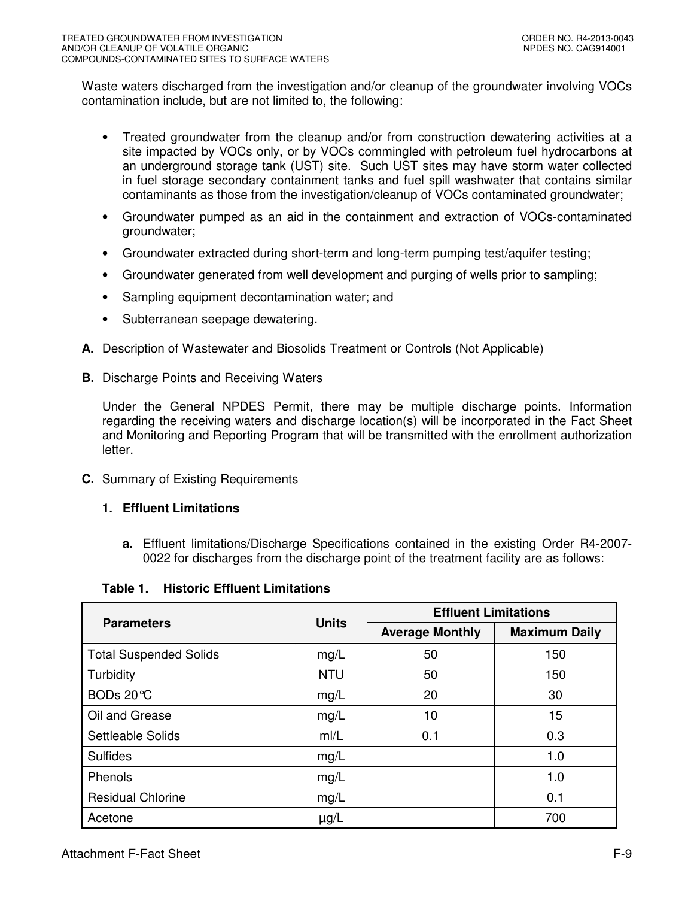Waste waters discharged from the investigation and/or cleanup of the groundwater involving VOCs contamination include, but are not limited to, the following:

- Treated groundwater from the cleanup and/or from construction dewatering activities at a site impacted by VOCs only, or by VOCs commingled with petroleum fuel hydrocarbons at an underground storage tank (UST) site. Such UST sites may have storm water collected in fuel storage secondary containment tanks and fuel spill washwater that contains similar contaminants as those from the investigation/cleanup of VOCs contaminated groundwater;
- Groundwater pumped as an aid in the containment and extraction of VOCs-contaminated groundwater;
- Groundwater extracted during short-term and long-term pumping test/aquifer testing;
- Groundwater generated from well development and purging of wells prior to sampling;
- Sampling equipment decontamination water; and
- Subterranean seepage dewatering.
- **A.** Description of Wastewater and Biosolids Treatment or Controls (Not Applicable)
- **B.** Discharge Points and Receiving Waters

Under the General NPDES Permit, there may be multiple discharge points. Information regarding the receiving waters and discharge location(s) will be incorporated in the Fact Sheet and Monitoring and Reporting Program that will be transmitted with the enrollment authorization letter.

- **C.** Summary of Existing Requirements
	- **1. Effluent Limitations** 
		- **a.** Effluent limitations/Discharge Specifications contained in the existing Order R4-2007- 0022 for discharges from the discharge point of the treatment facility are as follows:

### **Table 1. Historic Effluent Limitations**

|                               |              | <b>Effluent Limitations</b> |                      |  |  |
|-------------------------------|--------------|-----------------------------|----------------------|--|--|
| <b>Parameters</b>             | <b>Units</b> | <b>Average Monthly</b>      | <b>Maximum Daily</b> |  |  |
| <b>Total Suspended Solids</b> | mg/L         | 50                          | 150                  |  |  |
| Turbidity                     | <b>NTU</b>   | 50                          | 150                  |  |  |
| BODs 20℃                      | mg/L         | 20                          | 30                   |  |  |
| Oil and Grease                | mg/L         | 10                          | 15                   |  |  |
| Settleable Solids             | m/L          | 0.1                         | 0.3                  |  |  |
| <b>Sulfides</b>               | mg/L         |                             | 1.0                  |  |  |
| Phenols                       | mg/L         |                             | 1.0                  |  |  |
| <b>Residual Chlorine</b>      | mg/L         |                             | 0.1                  |  |  |
| Acetone                       | $\mu$ g/L    |                             | 700                  |  |  |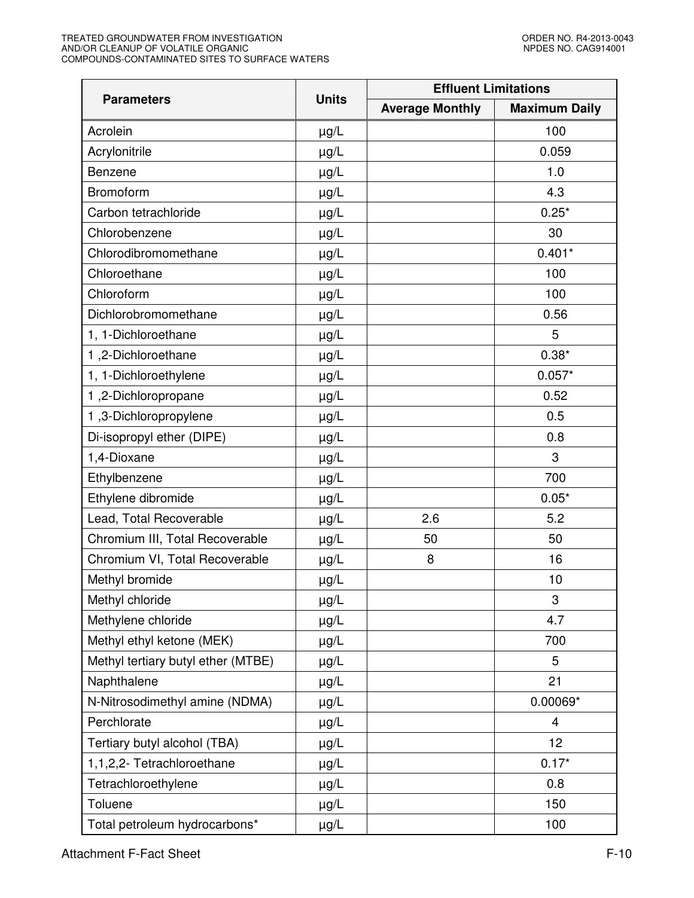|                                    |              | <b>Effluent Limitations</b> |                      |  |  |
|------------------------------------|--------------|-----------------------------|----------------------|--|--|
| <b>Parameters</b>                  | <b>Units</b> | <b>Average Monthly</b>      | <b>Maximum Daily</b> |  |  |
| Acrolein                           | $\mu$ g/L    |                             | 100                  |  |  |
| Acrylonitrile                      | $\mu g/L$    |                             | 0.059                |  |  |
| Benzene                            | $\mu g/L$    |                             | 1.0                  |  |  |
| Bromoform                          | $\mu g/L$    |                             | 4.3                  |  |  |
| Carbon tetrachloride               | $\mu g/L$    |                             | $0.25*$              |  |  |
| Chlorobenzene                      | $\mu g/L$    |                             | 30                   |  |  |
| Chlorodibromomethane               | $\mu g/L$    |                             | $0.401*$             |  |  |
| Chloroethane                       | $\mu g/L$    |                             | 100                  |  |  |
| Chloroform                         | $\mu g/L$    |                             | 100                  |  |  |
| Dichlorobromomethane               | $\mu g/L$    |                             | 0.56                 |  |  |
| 1, 1-Dichloroethane                | $\mu g/L$    |                             | 5                    |  |  |
| 1,2-Dichloroethane                 | $\mu g/L$    |                             | $0.38*$              |  |  |
| 1, 1-Dichloroethylene              | $\mu g/L$    |                             | $0.057*$             |  |  |
| 1,2-Dichloropropane                | $\mu g/L$    |                             | 0.52                 |  |  |
| 1,3-Dichloropropylene              | $\mu$ g/L    |                             | 0.5                  |  |  |
| Di-isopropyl ether (DIPE)          | $\mu g/L$    |                             | 0.8                  |  |  |
| 1,4-Dioxane                        | $\mu g/L$    |                             | 3                    |  |  |
| Ethylbenzene                       | $\mu$ g/L    |                             | 700                  |  |  |
| Ethylene dibromide                 | $\mu g/L$    |                             | $0.05*$              |  |  |
| Lead, Total Recoverable            | $\mu g/L$    | 2.6                         | 5.2                  |  |  |
| Chromium III, Total Recoverable    | $\mu$ g/L    | 50                          | 50                   |  |  |
| Chromium VI, Total Recoverable     | $\mu$ g/L    | 8                           | 16                   |  |  |
| Methyl bromide                     | $\mu$ g/L    |                             | 10                   |  |  |
| Methyl chloride                    | $\mu$ g/L    |                             | 3                    |  |  |
| Methylene chloride                 | $\mu g/L$    |                             | 4.7                  |  |  |
| Methyl ethyl ketone (MEK)          | $\mu$ g/L    |                             | 700                  |  |  |
| Methyl tertiary butyl ether (MTBE) | $\mu g/L$    |                             | 5                    |  |  |
| Naphthalene                        | $\mu$ g/L    |                             | 21                   |  |  |
| N-Nitrosodimethyl amine (NDMA)     | $\mu g/L$    |                             | $0.00069*$           |  |  |
| Perchlorate                        | $\mu$ g/L    |                             | $\overline{4}$       |  |  |
| Tertiary butyl alcohol (TBA)       | $\mu g/L$    |                             | 12                   |  |  |
| 1,1,2,2- Tetrachloroethane         | $\mu$ g/L    |                             | $0.17*$              |  |  |
| Tetrachloroethylene                | $\mu$ g/L    |                             | 0.8                  |  |  |
| Toluene                            | $\mu$ g/L    |                             | 150                  |  |  |
| Total petroleum hydrocarbons*      | $\mu g/L$    |                             | 100                  |  |  |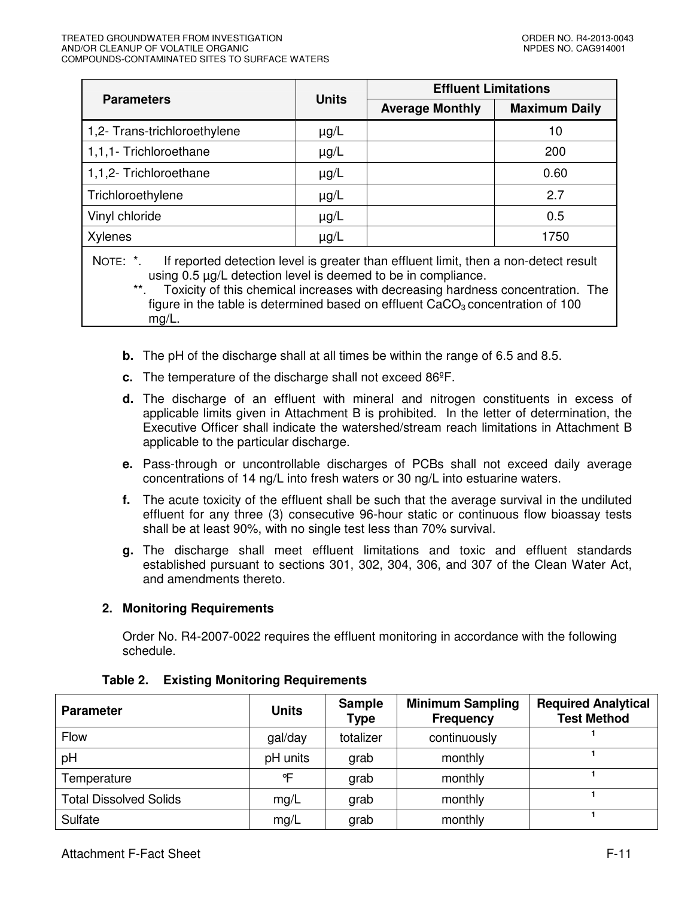|                                                                                                                                                                                                                                                               |              | <b>Effluent Limitations</b> |                      |  |  |
|---------------------------------------------------------------------------------------------------------------------------------------------------------------------------------------------------------------------------------------------------------------|--------------|-----------------------------|----------------------|--|--|
| <b>Parameters</b>                                                                                                                                                                                                                                             | <b>Units</b> | <b>Average Monthly</b>      | <b>Maximum Daily</b> |  |  |
| 1,2- Trans-trichloroethylene                                                                                                                                                                                                                                  | $\mu$ g/L    |                             | 10                   |  |  |
| 1,1,1- Trichloroethane                                                                                                                                                                                                                                        | $\mu$ g/L    |                             | 200                  |  |  |
| 1,1,2- Trichloroethane                                                                                                                                                                                                                                        | $\mu$ g/L    |                             | 0.60                 |  |  |
| Trichloroethylene                                                                                                                                                                                                                                             | $\mu$ g/L    |                             | 2.7                  |  |  |
| Vinyl chloride                                                                                                                                                                                                                                                | $\mu$ g/L    |                             | 0.5                  |  |  |
| Xylenes                                                                                                                                                                                                                                                       | $\mu$ g/L    | 1750                        |                      |  |  |
| NOTE: *.<br>If reported detection level is greater than effluent limit, then a non-detect result<br>using 0.5 µg/L detection level is deemed to be in compliance.<br>Tovioity of this obomical increases with degreesing bardness consentration. The<br>$***$ |              |                             |                      |  |  |

Toxicity of this chemical increases with decreasing hardness concentration. The figure in the table is determined based on effluent  $CaCO<sub>3</sub>$  concentration of 100 mg/L.

- **b.** The pH of the discharge shall at all times be within the range of 6.5 and 8.5.
- **c.** The temperature of the discharge shall not exceed 86ºF.
- **d.** The discharge of an effluent with mineral and nitrogen constituents in excess of applicable limits given in Attachment B is prohibited. In the letter of determination, the Executive Officer shall indicate the watershed/stream reach limitations in Attachment B applicable to the particular discharge.
- **e.** Pass-through or uncontrollable discharges of PCBs shall not exceed daily average concentrations of 14 ng/L into fresh waters or 30 ng/L into estuarine waters.
- **f.** The acute toxicity of the effluent shall be such that the average survival in the undiluted effluent for any three (3) consecutive 96-hour static or continuous flow bioassay tests shall be at least 90%, with no single test less than 70% survival.
- **g.** The discharge shall meet effluent limitations and toxic and effluent standards established pursuant to sections 301, 302, 304, 306, and 307 of the Clean Water Act, and amendments thereto.

# **2. Monitoring Requirements**

Order No. R4-2007-0022 requires the effluent monitoring in accordance with the following schedule.

| <b>Parameter</b>              | <b>Units</b> | <b>Sample</b><br><b>Type</b> | <b>Minimum Sampling</b><br><b>Frequency</b> | <b>Required Analytical</b><br><b>Test Method</b> |
|-------------------------------|--------------|------------------------------|---------------------------------------------|--------------------------------------------------|
| Flow                          | gal/day      | totalizer                    | continuously                                |                                                  |
| pH                            | pH units     | grab                         | monthly                                     |                                                  |
| Temperature                   | ℃            | grab                         | monthly                                     |                                                  |
| <b>Total Dissolved Solids</b> | mg/L         | grab                         | monthly                                     |                                                  |
| Sulfate                       | mg/L         | grab                         | monthly                                     |                                                  |

### **Table 2. Existing Monitoring Requirements**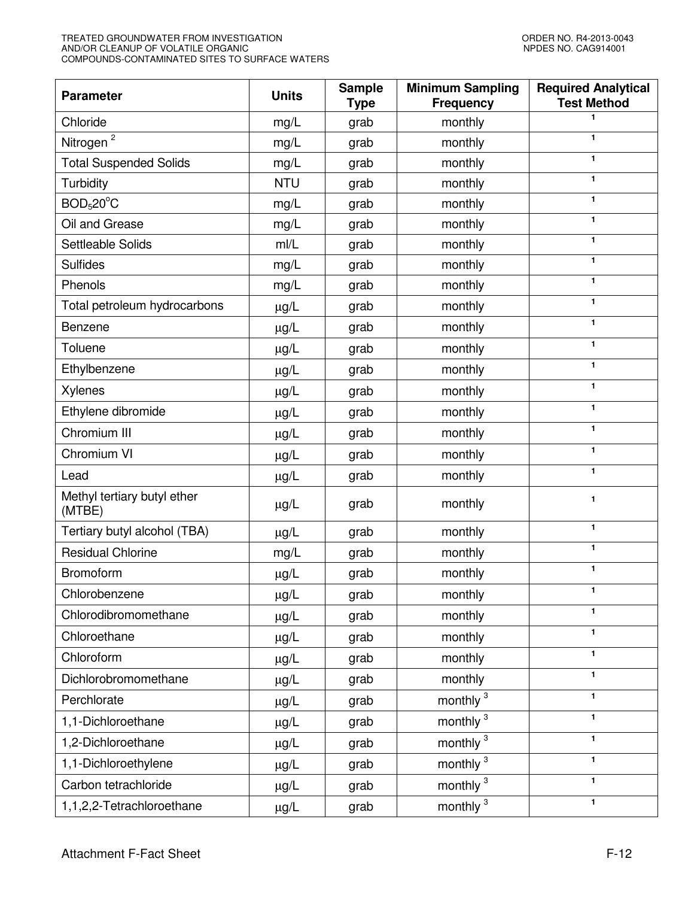| <b>Parameter</b>                      | <b>Units</b> | <b>Sample</b><br><b>Type</b> | <b>Minimum Sampling</b><br><b>Frequency</b> | <b>Required Analytical</b><br><b>Test Method</b> |
|---------------------------------------|--------------|------------------------------|---------------------------------------------|--------------------------------------------------|
| Chloride                              | mg/L         | grab                         | monthly                                     | 1                                                |
| Nitrogen <sup>2</sup>                 | mg/L         | grab                         | monthly                                     | 1                                                |
| <b>Total Suspended Solids</b>         | mg/L         | grab                         | monthly                                     | $\mathbf{1}$                                     |
| Turbidity                             | <b>NTU</b>   | grab                         | monthly                                     | 1                                                |
| BOD <sub>5</sub> 20 <sup>°</sup> C    | mg/L         | grab                         | monthly                                     | 1                                                |
| Oil and Grease                        | mg/L         | grab                         | monthly                                     | $\mathbf{1}$                                     |
| Settleable Solids                     | m/L          | grab                         | monthly                                     | $\mathbf{1}$                                     |
| <b>Sulfides</b>                       | mg/L         | grab                         | monthly                                     | 1                                                |
| Phenols                               | mg/L         | grab                         | monthly                                     | $\mathbf{1}$                                     |
| Total petroleum hydrocarbons          | $\mu$ g/L    | grab                         | monthly                                     | 1                                                |
| Benzene                               | $\mu$ g/L    | grab                         | monthly                                     | $\mathbf{1}$                                     |
| Toluene                               | $\mu g/L$    | grab                         | monthly                                     | $\mathbf{1}$                                     |
| Ethylbenzene                          | $\mu$ g/L    | grab                         | monthly                                     | 1                                                |
| <b>Xylenes</b>                        | $\mu$ g/L    | grab                         | monthly                                     | 1                                                |
| Ethylene dibromide                    | $\mu$ g/L    | grab                         | monthly                                     | 1                                                |
| Chromium III                          | $\mu$ g/L    | grab                         | monthly                                     | 1                                                |
| Chromium VI                           | $\mu$ g/L    | grab                         | monthly                                     | $\mathbf{1}$                                     |
| Lead                                  | $\mu$ g/L    | grab                         | monthly                                     | $\mathbf{1}$                                     |
| Methyl tertiary butyl ether<br>(MTBE) | $\mu$ g/L    | grab                         | monthly                                     | 1                                                |
| Tertiary butyl alcohol (TBA)          | $\mu$ g/L    | grab                         | monthly                                     | $\mathbf{1}$                                     |
| <b>Residual Chlorine</b>              | mg/L         | grab                         | monthly                                     | 1                                                |
| Bromoform                             | $\mu$ g/L    | grab                         | monthly                                     | $\mathbf{1}$                                     |
| Chlorobenzene                         | $\mu$ g/L    | grab                         | monthly                                     |                                                  |
| Chlorodibromomethane                  | $\mu$ g/L    | grab                         | monthly                                     | 1                                                |
| Chloroethane                          | $\mu$ g/L    | grab                         | monthly                                     | $\mathbf{1}$                                     |
| Chloroform                            | $\mu$ g/L    | grab                         | monthly                                     | $\mathbf{1}$                                     |
| Dichlorobromomethane                  | $\mu$ g/L    | grab                         | monthly                                     | $\mathbf{1}$                                     |
| Perchlorate                           | $\mu$ g/L    | grab                         | monthly <sup>3</sup>                        | $\mathbf{1}$                                     |
| 1,1-Dichloroethane                    | $\mu$ g/L    | grab                         | monthly <sup>3</sup>                        | 1                                                |
| 1,2-Dichloroethane                    | $\mu$ g/L    | grab                         | monthly <sup>3</sup>                        | $\mathbf{1}$                                     |
| 1,1-Dichloroethylene                  | $\mu$ g/L    | grab                         | monthly <sup>3</sup>                        | 1                                                |
| Carbon tetrachloride                  | $\mu$ g/L    | grab                         | monthly <sup>3</sup>                        | 1                                                |
| 1,1,2,2-Tetrachloroethane             | $\mu g/L$    | grab                         | monthly <sup>3</sup>                        | 1                                                |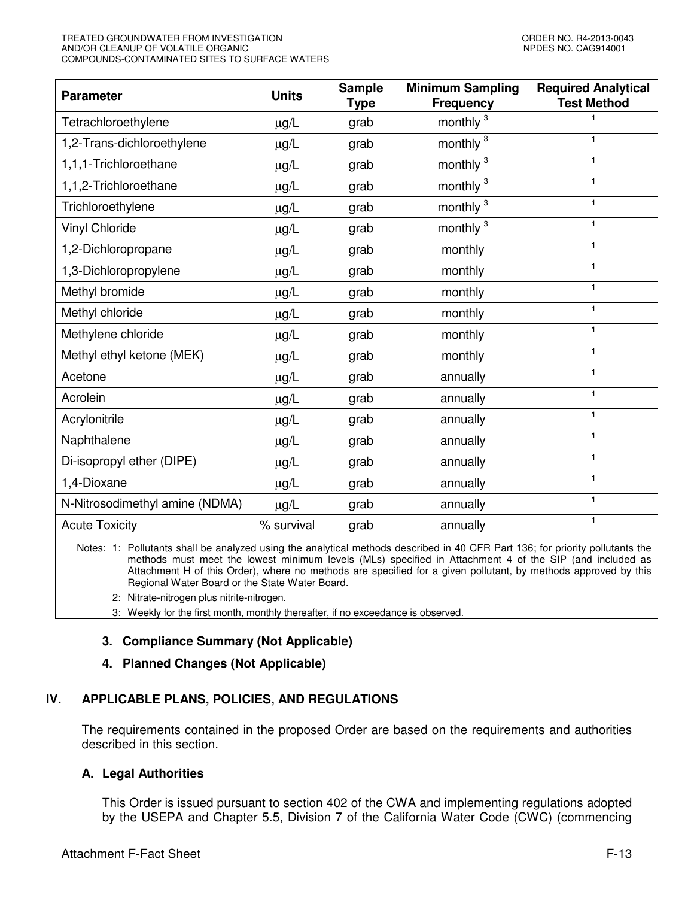| <b>Parameter</b>               | <b>Units</b> | <b>Sample</b><br><b>Type</b> | <b>Minimum Sampling</b><br><b>Frequency</b> | <b>Required Analytical</b><br><b>Test Method</b> |
|--------------------------------|--------------|------------------------------|---------------------------------------------|--------------------------------------------------|
| Tetrachloroethylene            | $\mu$ g/L    | grab                         | monthly <sup>3</sup>                        | 1                                                |
| 1,2-Trans-dichloroethylene     | $\mu$ g/L    | grab                         | monthly <sup>3</sup>                        | 1                                                |
| 1,1,1-Trichloroethane          | $\mu$ g/L    | grab                         | monthly <sup>3</sup>                        | 1                                                |
| 1,1,2-Trichloroethane          | $\mu g/L$    | grab                         | monthly <sup>3</sup>                        | 1                                                |
| Trichloroethylene              | $\mu$ g/L    | grab                         | monthly <sup>3</sup>                        | 1                                                |
| <b>Vinyl Chloride</b>          | $\mu$ g/L    | grab                         | monthly <sup>3</sup>                        | $\mathbf{1}$                                     |
| 1,2-Dichloropropane            | $\mu g/L$    | grab                         | monthly                                     | $\mathbf{1}$                                     |
| 1,3-Dichloropropylene          | $\mu g/L$    | grab                         | monthly                                     | $\mathbf{1}$                                     |
| Methyl bromide                 | $\mu$ g/L    | grab                         | monthly                                     | $\mathbf{1}$                                     |
| Methyl chloride                | $\mu$ g/L    | grab                         | monthly                                     | $\mathbf{1}$                                     |
| Methylene chloride             | $\mu g/L$    | grab                         | monthly                                     | 1                                                |
| Methyl ethyl ketone (MEK)      | $\mu g/L$    | grab                         | monthly                                     | $\mathbf{1}$                                     |
| Acetone                        | $\mu$ g/L    | grab                         | annually                                    | 1                                                |
| Acrolein                       | $\mu$ g/L    | grab                         | annually                                    | $\mathbf{1}$                                     |
| Acrylonitrile                  | $\mu g/L$    | grab                         | annually                                    | 1                                                |
| Naphthalene                    | $\mu g/L$    | grab                         | annually                                    | 1                                                |
| Di-isopropyl ether (DIPE)      | $\mu$ g/L    | grab                         | annually                                    | 1                                                |
| 1,4-Dioxane                    | $\mu$ g/L    | grab                         | annually                                    | $\mathbf{1}$                                     |
| N-Nitrosodimethyl amine (NDMA) | $\mu g/L$    | grab                         | annually                                    | 1                                                |
| <b>Acute Toxicity</b>          | % survival   | grab                         | annually                                    | 1                                                |

Notes: 1: Pollutants shall be analyzed using the analytical methods described in 40 CFR Part 136; for priority pollutants the methods must meet the lowest minimum levels (MLs) specified in Attachment 4 of the SIP (and included as Attachment H of this Order), where no methods are specified for a given pollutant, by methods approved by this Regional Water Board or the State Water Board.

2: Nitrate-nitrogen plus nitrite-nitrogen.

3: Weekly for the first month, monthly thereafter, if no exceedance is observed.

# **3. Compliance Summary (Not Applicable)**

# **4. Planned Changes (Not Applicable)**

# **IV. APPLICABLE PLANS, POLICIES, AND REGULATIONS**

The requirements contained in the proposed Order are based on the requirements and authorities described in this section.

# **A. Legal Authorities**

This Order is issued pursuant to section 402 of the CWA and implementing regulations adopted by the USEPA and Chapter 5.5, Division 7 of the California Water Code (CWC) (commencing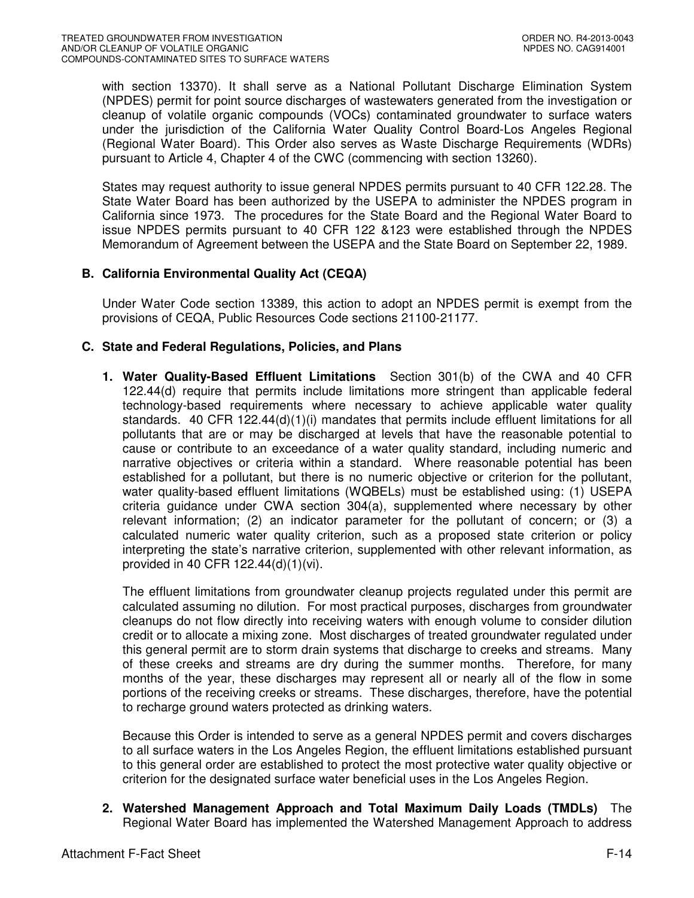with section 13370). It shall serve as a National Pollutant Discharge Elimination System (NPDES) permit for point source discharges of wastewaters generated from the investigation or cleanup of volatile organic compounds (VOCs) contaminated groundwater to surface waters under the jurisdiction of the California Water Quality Control Board-Los Angeles Regional (Regional Water Board). This Order also serves as Waste Discharge Requirements (WDRs) pursuant to Article 4, Chapter 4 of the CWC (commencing with section 13260).

States may request authority to issue general NPDES permits pursuant to 40 CFR 122.28. The State Water Board has been authorized by the USEPA to administer the NPDES program in California since 1973. The procedures for the State Board and the Regional Water Board to issue NPDES permits pursuant to 40 CFR 122 &123 were established through the NPDES Memorandum of Agreement between the USEPA and the State Board on September 22, 1989.

# **B. California Environmental Quality Act (CEQA)**

Under Water Code section 13389, this action to adopt an NPDES permit is exempt from the provisions of CEQA, Public Resources Code sections 21100-21177.

# **C. State and Federal Regulations, Policies, and Plans**

**1. Water Quality-Based Effluent Limitations** Section 301(b) of the CWA and 40 CFR 122.44(d) require that permits include limitations more stringent than applicable federal technology-based requirements where necessary to achieve applicable water quality standards. 40 CFR 122.44(d)(1)(i) mandates that permits include effluent limitations for all pollutants that are or may be discharged at levels that have the reasonable potential to cause or contribute to an exceedance of a water quality standard, including numeric and narrative objectives or criteria within a standard. Where reasonable potential has been established for a pollutant, but there is no numeric objective or criterion for the pollutant, water quality-based effluent limitations (WQBELs) must be established using: (1) USEPA criteria guidance under CWA section 304(a), supplemented where necessary by other relevant information; (2) an indicator parameter for the pollutant of concern; or (3) a calculated numeric water quality criterion, such as a proposed state criterion or policy interpreting the state's narrative criterion, supplemented with other relevant information, as provided in 40 CFR 122.44(d)(1)(vi).

The effluent limitations from groundwater cleanup projects regulated under this permit are calculated assuming no dilution. For most practical purposes, discharges from groundwater cleanups do not flow directly into receiving waters with enough volume to consider dilution credit or to allocate a mixing zone. Most discharges of treated groundwater regulated under this general permit are to storm drain systems that discharge to creeks and streams. Many of these creeks and streams are dry during the summer months. Therefore, for many months of the year, these discharges may represent all or nearly all of the flow in some portions of the receiving creeks or streams. These discharges, therefore, have the potential to recharge ground waters protected as drinking waters.

Because this Order is intended to serve as a general NPDES permit and covers discharges to all surface waters in the Los Angeles Region, the effluent limitations established pursuant to this general order are established to protect the most protective water quality objective or criterion for the designated surface water beneficial uses in the Los Angeles Region.

**2. Watershed Management Approach and Total Maximum Daily Loads (TMDLs)** The Regional Water Board has implemented the Watershed Management Approach to address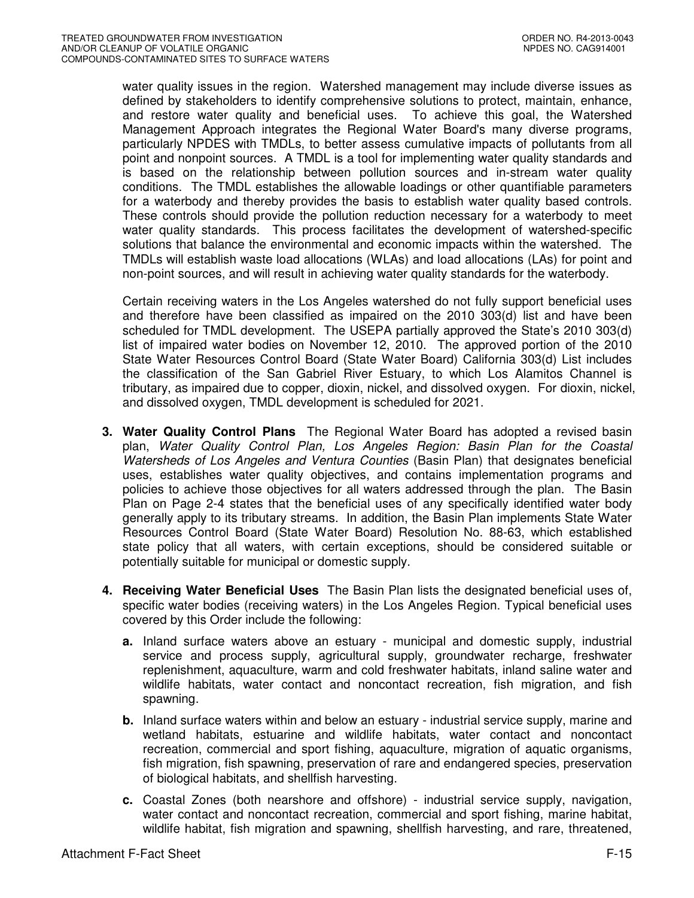water quality issues in the region. Watershed management may include diverse issues as defined by stakeholders to identify comprehensive solutions to protect, maintain, enhance, and restore water quality and beneficial uses. To achieve this goal, the Watershed Management Approach integrates the Regional Water Board's many diverse programs, particularly NPDES with TMDLs, to better assess cumulative impacts of pollutants from all point and nonpoint sources. A TMDL is a tool for implementing water quality standards and is based on the relationship between pollution sources and in-stream water quality conditions. The TMDL establishes the allowable loadings or other quantifiable parameters for a waterbody and thereby provides the basis to establish water quality based controls. These controls should provide the pollution reduction necessary for a waterbody to meet water quality standards. This process facilitates the development of watershed-specific solutions that balance the environmental and economic impacts within the watershed. The TMDLs will establish waste load allocations (WLAs) and load allocations (LAs) for point and non-point sources, and will result in achieving water quality standards for the waterbody.

Certain receiving waters in the Los Angeles watershed do not fully support beneficial uses and therefore have been classified as impaired on the 2010 303(d) list and have been scheduled for TMDL development. The USEPA partially approved the State's 2010 303(d) list of impaired water bodies on November 12, 2010. The approved portion of the 2010 State Water Resources Control Board (State Water Board) California 303(d) List includes the classification of the San Gabriel River Estuary, to which Los Alamitos Channel is tributary, as impaired due to copper, dioxin, nickel, and dissolved oxygen. For dioxin, nickel, and dissolved oxygen, TMDL development is scheduled for 2021.

- **3. Water Quality Control Plans** The Regional Water Board has adopted a revised basin plan, Water Quality Control Plan, Los Angeles Region: Basin Plan for the Coastal Watersheds of Los Angeles and Ventura Counties (Basin Plan) that designates beneficial uses, establishes water quality objectives, and contains implementation programs and policies to achieve those objectives for all waters addressed through the plan. The Basin Plan on Page 2-4 states that the beneficial uses of any specifically identified water body generally apply to its tributary streams. In addition, the Basin Plan implements State Water Resources Control Board (State Water Board) Resolution No. 88-63, which established state policy that all waters, with certain exceptions, should be considered suitable or potentially suitable for municipal or domestic supply.
- **4. Receiving Water Beneficial Uses** The Basin Plan lists the designated beneficial uses of, specific water bodies (receiving waters) in the Los Angeles Region. Typical beneficial uses covered by this Order include the following:
	- **a.** Inland surface waters above an estuary municipal and domestic supply, industrial service and process supply, agricultural supply, groundwater recharge, freshwater replenishment, aquaculture, warm and cold freshwater habitats, inland saline water and wildlife habitats, water contact and noncontact recreation, fish migration, and fish spawning.
	- **b.** Inland surface waters within and below an estuary industrial service supply, marine and wetland habitats, estuarine and wildlife habitats, water contact and noncontact recreation, commercial and sport fishing, aquaculture, migration of aquatic organisms, fish migration, fish spawning, preservation of rare and endangered species, preservation of biological habitats, and shellfish harvesting.
	- **c.** Coastal Zones (both nearshore and offshore) industrial service supply, navigation, water contact and noncontact recreation, commercial and sport fishing, marine habitat, wildlife habitat, fish migration and spawning, shellfish harvesting, and rare, threatened,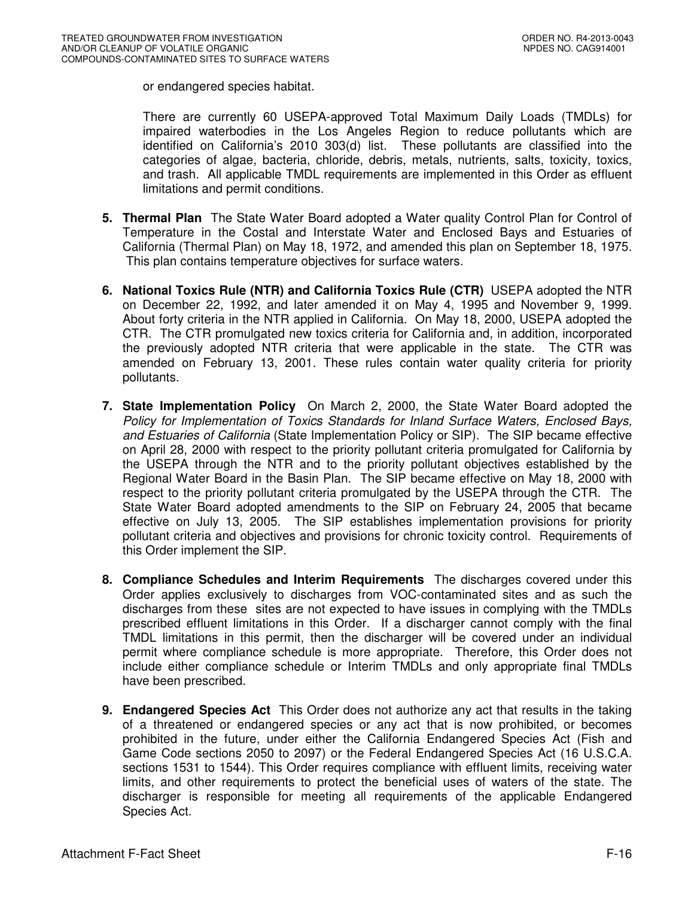or endangered species habitat.

There are currently 60 USEPA-approved Total Maximum Daily Loads (TMDLs) for impaired waterbodies in the Los Angeles Region to reduce pollutants which are identified on California's 2010 303(d) list. These pollutants are classified into the categories of algae, bacteria, chloride, debris, metals, nutrients, salts, toxicity, toxics, and trash. All applicable TMDL requirements are implemented in this Order as effluent limitations and permit conditions.

- **5. Thermal Plan** The State Water Board adopted a Water quality Control Plan for Control of Temperature in the Costal and Interstate Water and Enclosed Bays and Estuaries of California (Thermal Plan) on May 18, 1972, and amended this plan on September 18, 1975. This plan contains temperature objectives for surface waters.
- **6. National Toxics Rule (NTR) and California Toxics Rule (CTR)** USEPA adopted the NTR on December 22, 1992, and later amended it on May 4, 1995 and November 9, 1999. About forty criteria in the NTR applied in California. On May 18, 2000, USEPA adopted the CTR. The CTR promulgated new toxics criteria for California and, in addition, incorporated the previously adopted NTR criteria that were applicable in the state. The CTR was amended on February 13, 2001. These rules contain water quality criteria for priority pollutants.
- **7. State Implementation Policy** On March 2, 2000, the State Water Board adopted the Policy for Implementation of Toxics Standards for Inland Surface Waters, Enclosed Bays, and Estuaries of California (State Implementation Policy or SIP). The SIP became effective on April 28, 2000 with respect to the priority pollutant criteria promulgated for California by the USEPA through the NTR and to the priority pollutant objectives established by the Regional Water Board in the Basin Plan. The SIP became effective on May 18, 2000 with respect to the priority pollutant criteria promulgated by the USEPA through the CTR. The State Water Board adopted amendments to the SIP on February 24, 2005 that became effective on July 13, 2005. The SIP establishes implementation provisions for priority pollutant criteria and objectives and provisions for chronic toxicity control. Requirements of this Order implement the SIP.
- **8. Compliance Schedules and Interim Requirements** The discharges covered under this Order applies exclusively to discharges from VOC-contaminated sites and as such the discharges from these sites are not expected to have issues in complying with the TMDLs prescribed effluent limitations in this Order. If a discharger cannot comply with the final TMDL limitations in this permit, then the discharger will be covered under an individual permit where compliance schedule is more appropriate. Therefore, this Order does not include either compliance schedule or Interim TMDLs and only appropriate final TMDLs have been prescribed.
- **9. Endangered Species Act** This Order does not authorize any act that results in the taking of a threatened or endangered species or any act that is now prohibited, or becomes prohibited in the future, under either the California Endangered Species Act (Fish and Game Code sections 2050 to 2097) or the Federal Endangered Species Act (16 U.S.C.A. sections 1531 to 1544). This Order requires compliance with effluent limits, receiving water limits, and other requirements to protect the beneficial uses of waters of the state. The discharger is responsible for meeting all requirements of the applicable Endangered Species Act.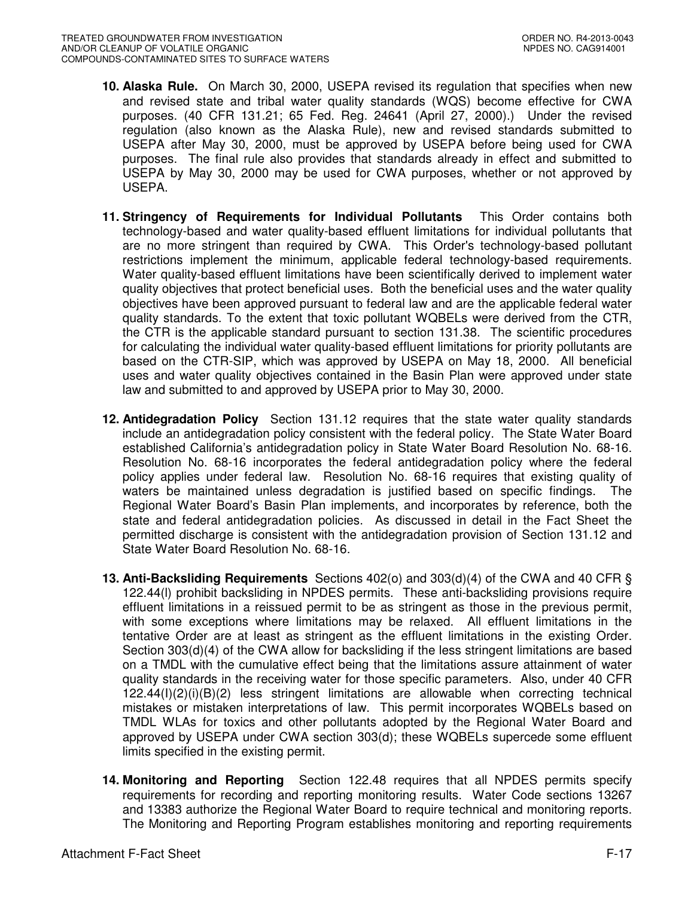- **10. Alaska Rule.** On March 30, 2000, USEPA revised its regulation that specifies when new and revised state and tribal water quality standards (WQS) become effective for CWA purposes. (40 CFR 131.21; 65 Fed. Reg. 24641 (April 27, 2000).) Under the revised regulation (also known as the Alaska Rule), new and revised standards submitted to USEPA after May 30, 2000, must be approved by USEPA before being used for CWA purposes. The final rule also provides that standards already in effect and submitted to USEPA by May 30, 2000 may be used for CWA purposes, whether or not approved by USEPA.
- **11. Stringency of Requirements for Individual Pollutants** This Order contains both technology-based and water quality-based effluent limitations for individual pollutants that are no more stringent than required by CWA. This Order's technology-based pollutant restrictions implement the minimum, applicable federal technology-based requirements. Water quality-based effluent limitations have been scientifically derived to implement water quality objectives that protect beneficial uses. Both the beneficial uses and the water quality objectives have been approved pursuant to federal law and are the applicable federal water quality standards. To the extent that toxic pollutant WQBELs were derived from the CTR, the CTR is the applicable standard pursuant to section 131.38. The scientific procedures for calculating the individual water quality-based effluent limitations for priority pollutants are based on the CTR-SIP, which was approved by USEPA on May 18, 2000. All beneficial uses and water quality objectives contained in the Basin Plan were approved under state law and submitted to and approved by USEPA prior to May 30, 2000.
- **12. Antidegradation Policy** Section 131.12 requires that the state water quality standards include an antidegradation policy consistent with the federal policy. The State Water Board established California's antidegradation policy in State Water Board Resolution No. 68-16. Resolution No. 68-16 incorporates the federal antidegradation policy where the federal policy applies under federal law. Resolution No. 68-16 requires that existing quality of waters be maintained unless degradation is justified based on specific findings. The Regional Water Board's Basin Plan implements, and incorporates by reference, both the state and federal antidegradation policies. As discussed in detail in the Fact Sheet the permitted discharge is consistent with the antidegradation provision of Section 131.12 and State Water Board Resolution No. 68-16.
- **13. Anti-Backsliding Requirements** Sections 402(o) and 303(d)(4) of the CWA and 40 CFR § 122.44(l) prohibit backsliding in NPDES permits. These anti-backsliding provisions require effluent limitations in a reissued permit to be as stringent as those in the previous permit, with some exceptions where limitations may be relaxed. All effluent limitations in the tentative Order are at least as stringent as the effluent limitations in the existing Order. Section 303(d)(4) of the CWA allow for backsliding if the less stringent limitations are based on a TMDL with the cumulative effect being that the limitations assure attainment of water quality standards in the receiving water for those specific parameters. Also, under 40 CFR  $122.44(1)(2)(i)(B)(2)$  less stringent limitations are allowable when correcting technical mistakes or mistaken interpretations of law. This permit incorporates WQBELs based on TMDL WLAs for toxics and other pollutants adopted by the Regional Water Board and approved by USEPA under CWA section 303(d); these WQBELs supercede some effluent limits specified in the existing permit.
- **14. Monitoring and Reporting** Section 122.48 requires that all NPDES permits specify requirements for recording and reporting monitoring results. Water Code sections 13267 and 13383 authorize the Regional Water Board to require technical and monitoring reports. The Monitoring and Reporting Program establishes monitoring and reporting requirements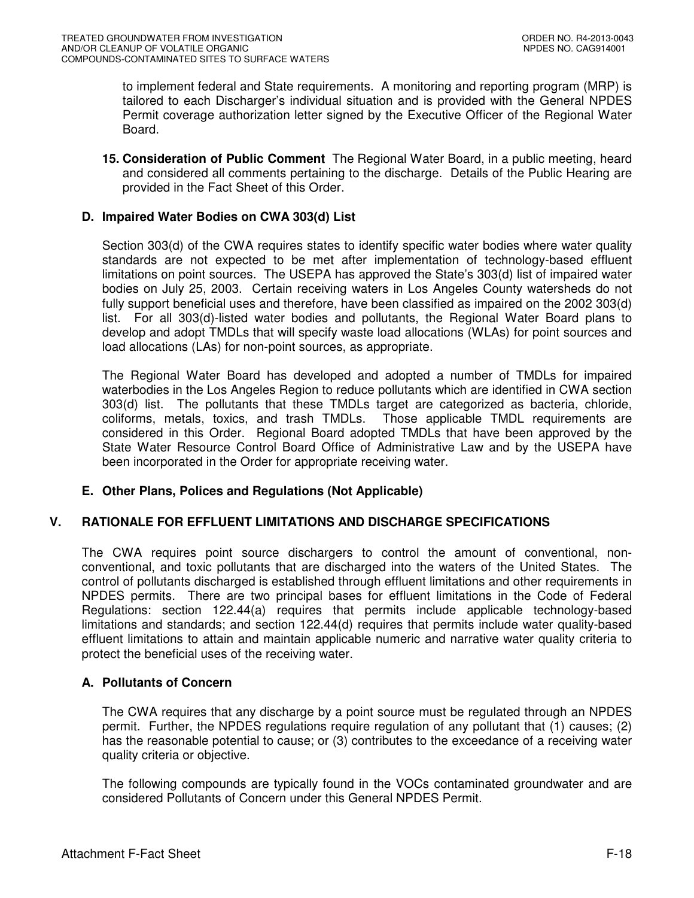to implement federal and State requirements. A monitoring and reporting program (MRP) is tailored to each Discharger's individual situation and is provided with the General NPDES Permit coverage authorization letter signed by the Executive Officer of the Regional Water Board.

**15. Consideration of Public Comment** The Regional Water Board, in a public meeting, heard and considered all comments pertaining to the discharge. Details of the Public Hearing are provided in the Fact Sheet of this Order.

# **D. Impaired Water Bodies on CWA 303(d) List**

Section 303(d) of the CWA requires states to identify specific water bodies where water quality standards are not expected to be met after implementation of technology-based effluent limitations on point sources. The USEPA has approved the State's 303(d) list of impaired water bodies on July 25, 2003. Certain receiving waters in Los Angeles County watersheds do not fully support beneficial uses and therefore, have been classified as impaired on the 2002 303(d) list. For all 303(d)-listed water bodies and pollutants, the Regional Water Board plans to develop and adopt TMDLs that will specify waste load allocations (WLAs) for point sources and load allocations (LAs) for non-point sources, as appropriate.

The Regional Water Board has developed and adopted a number of TMDLs for impaired waterbodies in the Los Angeles Region to reduce pollutants which are identified in CWA section 303(d) list. The pollutants that these TMDLs target are categorized as bacteria, chloride, coliforms, metals, toxics, and trash TMDLs. Those applicable TMDL requirements are considered in this Order. Regional Board adopted TMDLs that have been approved by the State Water Resource Control Board Office of Administrative Law and by the USEPA have been incorporated in the Order for appropriate receiving water.

# **E. Other Plans, Polices and Regulations (Not Applicable)**

# **V. RATIONALE FOR EFFLUENT LIMITATIONS AND DISCHARGE SPECIFICATIONS**

The CWA requires point source dischargers to control the amount of conventional, nonconventional, and toxic pollutants that are discharged into the waters of the United States. The control of pollutants discharged is established through effluent limitations and other requirements in NPDES permits. There are two principal bases for effluent limitations in the Code of Federal Regulations: section 122.44(a) requires that permits include applicable technology-based limitations and standards; and section 122.44(d) requires that permits include water quality-based effluent limitations to attain and maintain applicable numeric and narrative water quality criteria to protect the beneficial uses of the receiving water.

# **A. Pollutants of Concern**

The CWA requires that any discharge by a point source must be regulated through an NPDES permit. Further, the NPDES regulations require regulation of any pollutant that (1) causes; (2) has the reasonable potential to cause; or (3) contributes to the exceedance of a receiving water quality criteria or objective.

The following compounds are typically found in the VOCs contaminated groundwater and are considered Pollutants of Concern under this General NPDES Permit.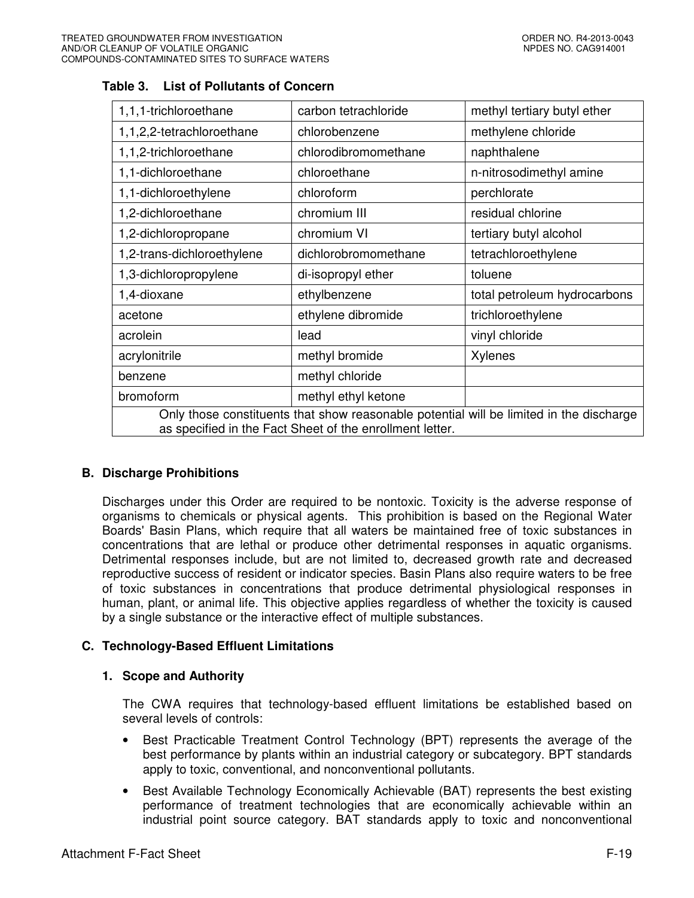| 1,1,1-trichloroethane                                                                                                                               | carbon tetrachloride | methyl tertiary butyl ether  |  |  |  |
|-----------------------------------------------------------------------------------------------------------------------------------------------------|----------------------|------------------------------|--|--|--|
| 1,1,2,2-tetrachloroethane                                                                                                                           | chlorobenzene        | methylene chloride           |  |  |  |
| 1,1,2-trichloroethane                                                                                                                               | chlorodibromomethane | naphthalene                  |  |  |  |
| 1,1-dichloroethane                                                                                                                                  | chloroethane         | n-nitrosodimethyl amine      |  |  |  |
| 1,1-dichloroethylene                                                                                                                                | chloroform           | perchlorate                  |  |  |  |
| 1,2-dichloroethane                                                                                                                                  | chromium III         | residual chlorine            |  |  |  |
| 1,2-dichloropropane                                                                                                                                 | chromium VI          | tertiary butyl alcohol       |  |  |  |
| 1,2-trans-dichloroethylene                                                                                                                          | dichlorobromomethane | tetrachloroethylene          |  |  |  |
| 1,3-dichloropropylene                                                                                                                               | di-isopropyl ether   | toluene                      |  |  |  |
| 1,4-dioxane                                                                                                                                         | ethylbenzene         | total petroleum hydrocarbons |  |  |  |
| acetone                                                                                                                                             | ethylene dibromide   | trichloroethylene            |  |  |  |
| acrolein                                                                                                                                            | lead                 | vinyl chloride               |  |  |  |
| acrylonitrile                                                                                                                                       | methyl bromide       | Xylenes                      |  |  |  |
| benzene                                                                                                                                             | methyl chloride      |                              |  |  |  |
| bromoform                                                                                                                                           | methyl ethyl ketone  |                              |  |  |  |
| Only those constituents that show reasonable potential will be limited in the discharge<br>as specified in the Fact Sheet of the enrollment letter. |                      |                              |  |  |  |

# **Table 3. List of Pollutants of Concern**

# **B. Discharge Prohibitions**

Discharges under this Order are required to be nontoxic. Toxicity is the adverse response of organisms to chemicals or physical agents. This prohibition is based on the Regional Water Boards' Basin Plans, which require that all waters be maintained free of toxic substances in concentrations that are lethal or produce other detrimental responses in aquatic organisms. Detrimental responses include, but are not limited to, decreased growth rate and decreased reproductive success of resident or indicator species. Basin Plans also require waters to be free of toxic substances in concentrations that produce detrimental physiological responses in human, plant, or animal life. This objective applies regardless of whether the toxicity is caused by a single substance or the interactive effect of multiple substances.

# **C. Technology-Based Effluent Limitations**

# **1. Scope and Authority**

The CWA requires that technology-based effluent limitations be established based on several levels of controls:

- Best Practicable Treatment Control Technology (BPT) represents the average of the best performance by plants within an industrial category or subcategory. BPT standards apply to toxic, conventional, and nonconventional pollutants.
- Best Available Technology Economically Achievable (BAT) represents the best existing performance of treatment technologies that are economically achievable within an industrial point source category. BAT standards apply to toxic and nonconventional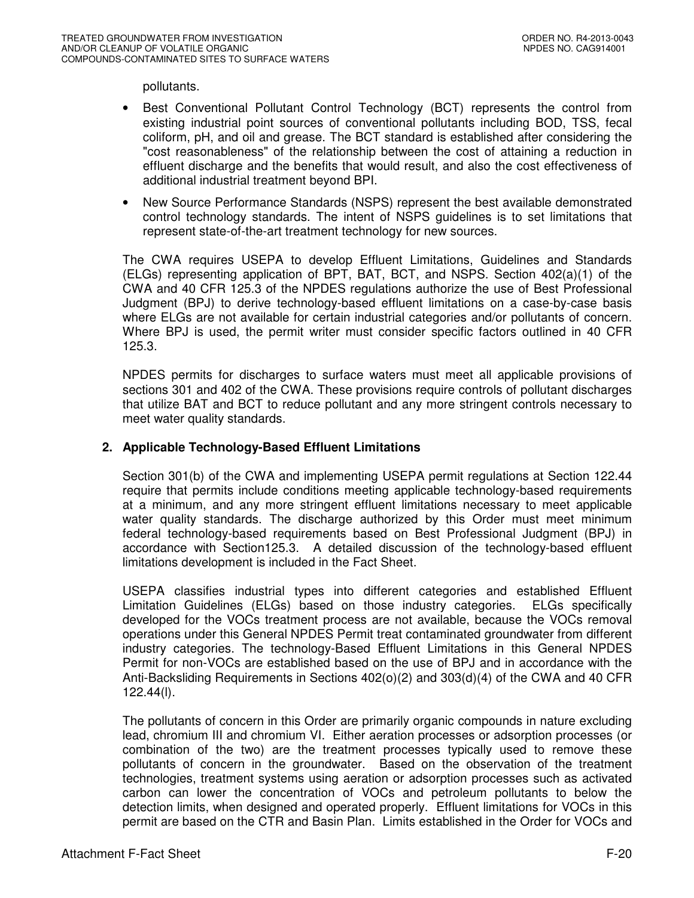pollutants.

- Best Conventional Pollutant Control Technology (BCT) represents the control from existing industrial point sources of conventional pollutants including BOD, TSS, fecal coliform, pH, and oil and grease. The BCT standard is established after considering the "cost reasonableness" of the relationship between the cost of attaining a reduction in effluent discharge and the benefits that would result, and also the cost effectiveness of additional industrial treatment beyond BPI.
- New Source Performance Standards (NSPS) represent the best available demonstrated control technology standards. The intent of NSPS guidelines is to set limitations that represent state-of-the-art treatment technology for new sources.

The CWA requires USEPA to develop Effluent Limitations, Guidelines and Standards (ELGs) representing application of BPT, BAT, BCT, and NSPS. Section 402(a)(1) of the CWA and 40 CFR 125.3 of the NPDES regulations authorize the use of Best Professional Judgment (BPJ) to derive technology-based effluent limitations on a case-by-case basis where ELGs are not available for certain industrial categories and/or pollutants of concern. Where BPJ is used, the permit writer must consider specific factors outlined in 40 CFR 125.3.

NPDES permits for discharges to surface waters must meet all applicable provisions of sections 301 and 402 of the CWA. These provisions require controls of pollutant discharges that utilize BAT and BCT to reduce pollutant and any more stringent controls necessary to meet water quality standards.

### **2. Applicable Technology-Based Effluent Limitations**

Section 301(b) of the CWA and implementing USEPA permit regulations at Section 122.44 require that permits include conditions meeting applicable technology-based requirements at a minimum, and any more stringent effluent limitations necessary to meet applicable water quality standards. The discharge authorized by this Order must meet minimum federal technology-based requirements based on Best Professional Judgment (BPJ) in accordance with Section125.3. A detailed discussion of the technology-based effluent limitations development is included in the Fact Sheet.

USEPA classifies industrial types into different categories and established Effluent Limitation Guidelines (ELGs) based on those industry categories. ELGs specifically developed for the VOCs treatment process are not available, because the VOCs removal operations under this General NPDES Permit treat contaminated groundwater from different industry categories. The technology-Based Effluent Limitations in this General NPDES Permit for non-VOCs are established based on the use of BPJ and in accordance with the Anti-Backsliding Requirements in Sections 402(o)(2) and 303(d)(4) of the CWA and 40 CFR 122.44(l).

The pollutants of concern in this Order are primarily organic compounds in nature excluding lead, chromium III and chromium VI. Either aeration processes or adsorption processes (or combination of the two) are the treatment processes typically used to remove these pollutants of concern in the groundwater. Based on the observation of the treatment technologies, treatment systems using aeration or adsorption processes such as activated carbon can lower the concentration of VOCs and petroleum pollutants to below the detection limits, when designed and operated properly. Effluent limitations for VOCs in this permit are based on the CTR and Basin Plan. Limits established in the Order for VOCs and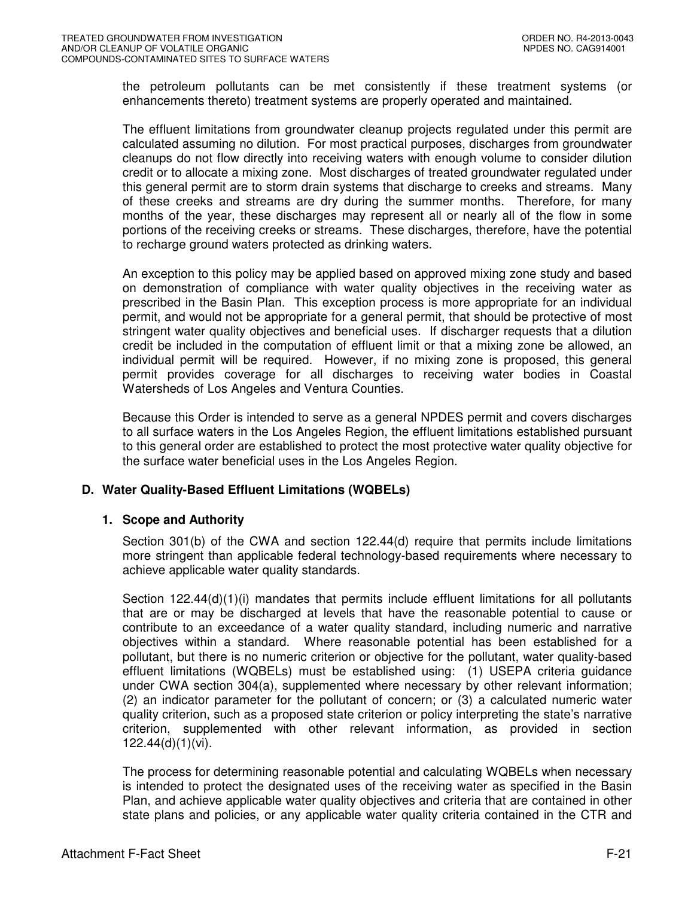the petroleum pollutants can be met consistently if these treatment systems (or enhancements thereto) treatment systems are properly operated and maintained.

The effluent limitations from groundwater cleanup projects regulated under this permit are calculated assuming no dilution. For most practical purposes, discharges from groundwater cleanups do not flow directly into receiving waters with enough volume to consider dilution credit or to allocate a mixing zone. Most discharges of treated groundwater regulated under this general permit are to storm drain systems that discharge to creeks and streams. Many of these creeks and streams are dry during the summer months. Therefore, for many months of the year, these discharges may represent all or nearly all of the flow in some portions of the receiving creeks or streams. These discharges, therefore, have the potential to recharge ground waters protected as drinking waters.

An exception to this policy may be applied based on approved mixing zone study and based on demonstration of compliance with water quality objectives in the receiving water as prescribed in the Basin Plan. This exception process is more appropriate for an individual permit, and would not be appropriate for a general permit, that should be protective of most stringent water quality objectives and beneficial uses. If discharger requests that a dilution credit be included in the computation of effluent limit or that a mixing zone be allowed, an individual permit will be required. However, if no mixing zone is proposed, this general permit provides coverage for all discharges to receiving water bodies in Coastal Watersheds of Los Angeles and Ventura Counties.

Because this Order is intended to serve as a general NPDES permit and covers discharges to all surface waters in the Los Angeles Region, the effluent limitations established pursuant to this general order are established to protect the most protective water quality objective for the surface water beneficial uses in the Los Angeles Region.

# **D. Water Quality-Based Effluent Limitations (WQBELs)**

### **1. Scope and Authority**

Section 301(b) of the CWA and section 122.44(d) require that permits include limitations more stringent than applicable federal technology-based requirements where necessary to achieve applicable water quality standards.

Section  $122.44(d)(1)(i)$  mandates that permits include effluent limitations for all pollutants that are or may be discharged at levels that have the reasonable potential to cause or contribute to an exceedance of a water quality standard, including numeric and narrative objectives within a standard. Where reasonable potential has been established for a pollutant, but there is no numeric criterion or objective for the pollutant, water quality-based effluent limitations (WQBELs) must be established using: (1) USEPA criteria guidance under CWA section 304(a), supplemented where necessary by other relevant information; (2) an indicator parameter for the pollutant of concern; or (3) a calculated numeric water quality criterion, such as a proposed state criterion or policy interpreting the state's narrative criterion, supplemented with other relevant information, as provided in section 122.44(d)(1)(vi).

The process for determining reasonable potential and calculating WQBELs when necessary is intended to protect the designated uses of the receiving water as specified in the Basin Plan, and achieve applicable water quality objectives and criteria that are contained in other state plans and policies, or any applicable water quality criteria contained in the CTR and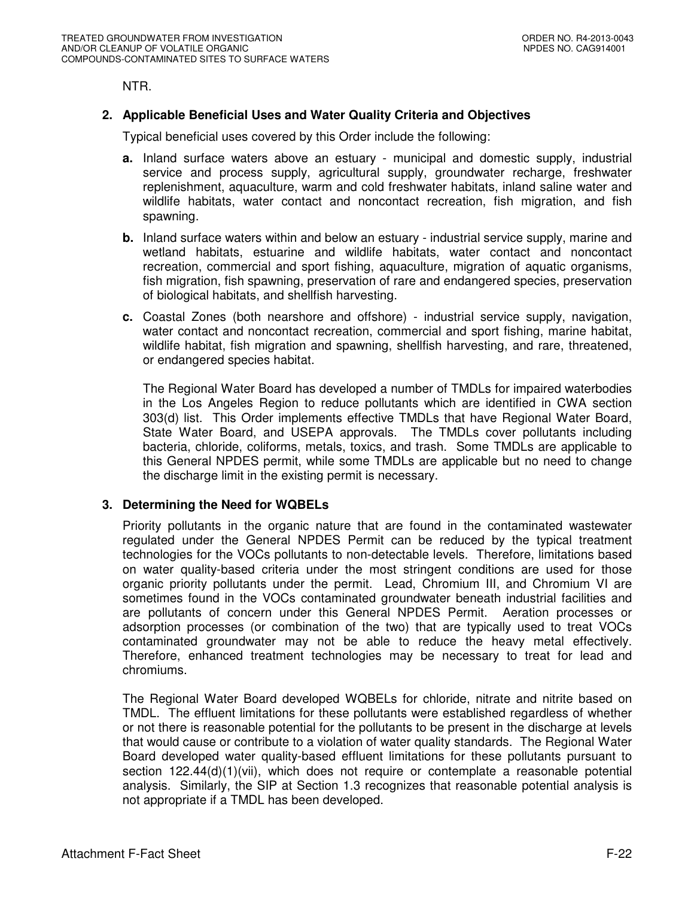NTR.

# **2. Applicable Beneficial Uses and Water Quality Criteria and Objectives**

Typical beneficial uses covered by this Order include the following:

- **a.** Inland surface waters above an estuary municipal and domestic supply, industrial service and process supply, agricultural supply, groundwater recharge, freshwater replenishment, aquaculture, warm and cold freshwater habitats, inland saline water and wildlife habitats, water contact and noncontact recreation, fish migration, and fish spawning.
- **b.** Inland surface waters within and below an estuary industrial service supply, marine and wetland habitats, estuarine and wildlife habitats, water contact and noncontact recreation, commercial and sport fishing, aquaculture, migration of aquatic organisms, fish migration, fish spawning, preservation of rare and endangered species, preservation of biological habitats, and shellfish harvesting.
- **c.** Coastal Zones (both nearshore and offshore) industrial service supply, navigation, water contact and noncontact recreation, commercial and sport fishing, marine habitat, wildlife habitat, fish migration and spawning, shellfish harvesting, and rare, threatened, or endangered species habitat.

The Regional Water Board has developed a number of TMDLs for impaired waterbodies in the Los Angeles Region to reduce pollutants which are identified in CWA section 303(d) list. This Order implements effective TMDLs that have Regional Water Board, State Water Board, and USEPA approvals. The TMDLs cover pollutants including bacteria, chloride, coliforms, metals, toxics, and trash. Some TMDLs are applicable to this General NPDES permit, while some TMDLs are applicable but no need to change the discharge limit in the existing permit is necessary.

# **3. Determining the Need for WQBELs**

Priority pollutants in the organic nature that are found in the contaminated wastewater regulated under the General NPDES Permit can be reduced by the typical treatment technologies for the VOCs pollutants to non-detectable levels. Therefore, limitations based on water quality-based criteria under the most stringent conditions are used for those organic priority pollutants under the permit. Lead, Chromium III, and Chromium VI are sometimes found in the VOCs contaminated groundwater beneath industrial facilities and are pollutants of concern under this General NPDES Permit. Aeration processes or adsorption processes (or combination of the two) that are typically used to treat VOCs contaminated groundwater may not be able to reduce the heavy metal effectively. Therefore, enhanced treatment technologies may be necessary to treat for lead and chromiums.

The Regional Water Board developed WQBELs for chloride, nitrate and nitrite based on TMDL. The effluent limitations for these pollutants were established regardless of whether or not there is reasonable potential for the pollutants to be present in the discharge at levels that would cause or contribute to a violation of water quality standards. The Regional Water Board developed water quality-based effluent limitations for these pollutants pursuant to section  $122.44(d)(1)(vii)$ , which does not require or contemplate a reasonable potential analysis. Similarly, the SIP at Section 1.3 recognizes that reasonable potential analysis is not appropriate if a TMDL has been developed.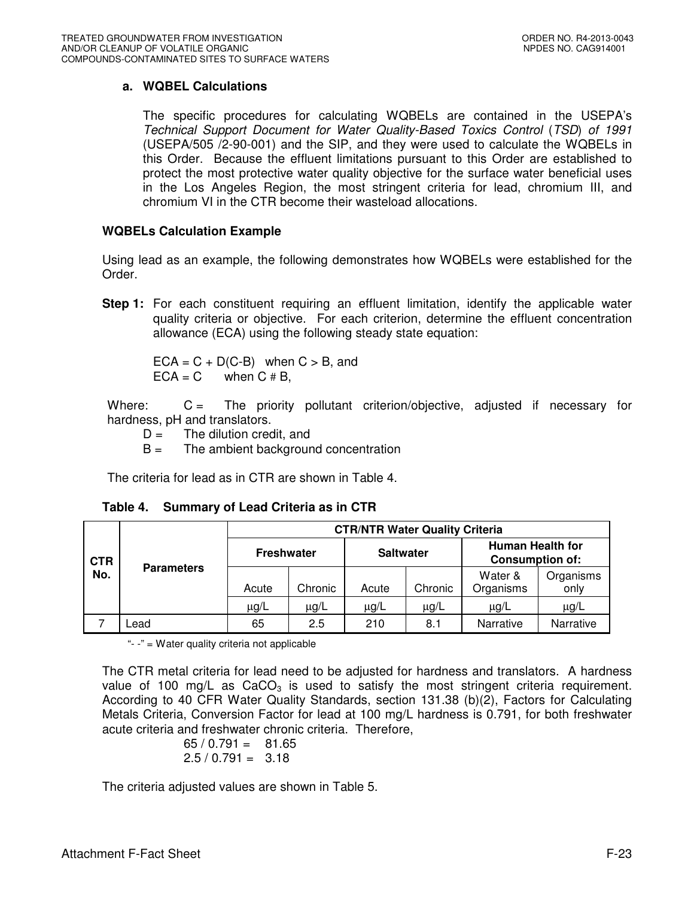# **a. WQBEL Calculations**

The specific procedures for calculating WQBELs are contained in the USEPA's Technical Support Document for Water Quality-Based Toxics Control (TSD) of 1991 (USEPA/505 /2-90-001) and the SIP, and they were used to calculate the WQBELs in this Order. Because the effluent limitations pursuant to this Order are established to protect the most protective water quality objective for the surface water beneficial uses in the Los Angeles Region, the most stringent criteria for lead, chromium III, and chromium VI in the CTR become their wasteload allocations.

### **WQBELs Calculation Example**

Using lead as an example, the following demonstrates how WQBELs were established for the Order.

**Step 1:** For each constituent requiring an effluent limitation, identify the applicable water quality criteria or objective. For each criterion, determine the effluent concentration allowance (ECA) using the following steady state equation:

 $ECA = C + D(C-B)$  when  $C > B$ , and  $ECA = C$  when  $C \# B$ ,

Where: C = The priority pollutant criterion/objective, adjusted if necessary for hardness, pH and translators.

- $D =$  The dilution credit, and
- $B =$  The ambient background concentration

The criteria for lead as in CTR are shown in Table 4.

| <b>CTR</b><br>No. |                   | <b>CTR/NTR Water Quality Criteria</b> |         |                  |           |                                                   |                   |  |  |
|-------------------|-------------------|---------------------------------------|---------|------------------|-----------|---------------------------------------------------|-------------------|--|--|
|                   | <b>Parameters</b> | <b>Freshwater</b>                     |         | <b>Saltwater</b> |           | <b>Human Health for</b><br><b>Consumption of:</b> |                   |  |  |
|                   |                   | Acute                                 | Chronic | Acute            | Chronic   | Water &<br>Organisms                              | Organisms<br>only |  |  |
|                   |                   | $\mu$ g/L                             | μg/L    | $\mu$ g/L        | $\mu$ g/L | $\mu$ g/L                                         | $\mu$ g/L         |  |  |
|                   | Lead              | 65                                    | 2.5     | 210              | 8.1       | Narrative                                         | Narrative         |  |  |

**Table 4. Summary of Lead Criteria as in CTR**

"- -" = Water quality criteria not applicable

The CTR metal criteria for lead need to be adjusted for hardness and translators. A hardness value of 100 mg/L as  $CaCO<sub>3</sub>$  is used to satisfy the most stringent criteria requirement. According to 40 CFR Water Quality Standards, section 131.38 (b)(2), Factors for Calculating Metals Criteria, Conversion Factor for lead at 100 mg/L hardness is 0.791, for both freshwater acute criteria and freshwater chronic criteria. Therefore,

$$
\begin{array}{rcl} 65 / 0.791 & = & 81.65 \\ 2.5 / 0.791 & = & 3.18 \end{array}
$$

The criteria adjusted values are shown in Table 5.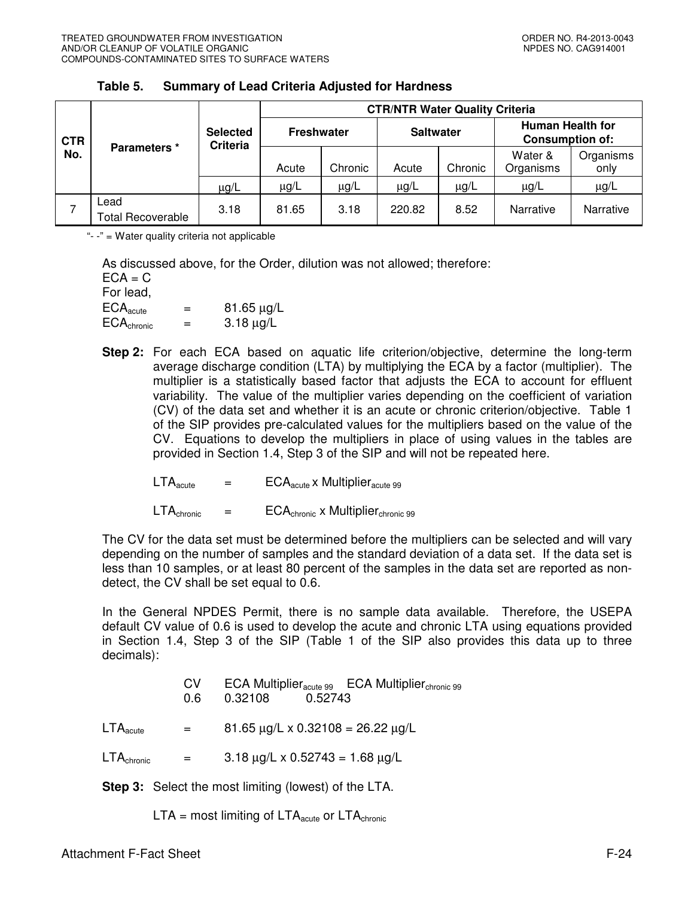|                   |                                  |                                    | <b>CTR/NTR Water Quality Criteria</b> |           |                  |           |                                                                                                |           |  |
|-------------------|----------------------------------|------------------------------------|---------------------------------------|-----------|------------------|-----------|------------------------------------------------------------------------------------------------|-----------|--|
| <b>CTR</b><br>No. | Parameters *                     | <b>Selected</b><br><b>Criteria</b> | <b>Freshwater</b>                     |           | <b>Saltwater</b> |           | <b>Human Health for</b><br><b>Consumption of:</b><br>Water &<br>Organisms<br>Organisms<br>only |           |  |
|                   |                                  |                                    | Acute                                 | Chronic   | Acute            | Chronic   |                                                                                                |           |  |
|                   |                                  | $\mu$ g/L                          | $\mu$ g/L                             | $\mu g/L$ | $\mu$ g/L        | $\mu$ g/L | $\mu$ g/L                                                                                      | $\mu$ g/L |  |
|                   | Lead<br><b>Total Recoverable</b> | 3.18                               | 81.65                                 | 3.18      | 220.82           | 8.52      | Narrative                                                                                      | Narrative |  |

### **Table 5. Summary of Lead Criteria Adjusted for Hardness**

"- -" = Water quality criteria not applicable

As discussed above, for the Order, dilution was not allowed; therefore:  $ECA = C$ For lead,

| For lead.              |     |            |
|------------------------|-----|------------|
| $ECA_{acute}$          | $=$ | 81.65 μg/L |
| ECA <sub>chronic</sub> | $=$ | 3.18 μg/L  |

**Step 2:** For each ECA based on aquatic life criterion/objective, determine the long-term average discharge condition (LTA) by multiplying the ECA by a factor (multiplier). The multiplier is a statistically based factor that adjusts the ECA to account for effluent variability. The value of the multiplier varies depending on the coefficient of variation (CV) of the data set and whether it is an acute or chronic criterion/objective. Table 1 of the SIP provides pre-calculated values for the multipliers based on the value of the CV. Equations to develop the multipliers in place of using values in the tables are provided in Section 1.4, Step 3 of the SIP and will not be repeated here.

 $LTA<sub>acute</sub>$  =  $ECA<sub>acute</sub>$  x Multiplier<sub>acute 99</sub>

 $LTA_{\text{chronic}} = ECA_{\text{chronic}} \times \text{Multiplier}_{\text{chronic}}$  99

The CV for the data set must be determined before the multipliers can be selected and will vary depending on the number of samples and the standard deviation of a data set. If the data set is less than 10 samples, or at least 80 percent of the samples in the data set are reported as nondetect, the CV shall be set equal to 0.6.

In the General NPDES Permit, there is no sample data available. Therefore, the USEPA default CV value of 0.6 is used to develop the acute and chronic LTA using equations provided in Section 1.4, Step 3 of the SIP (Table 1 of the SIP also provides this data up to three decimals):

|                                 | CV.<br>0.6 | ECA Multiplier $_{\text{acute 99}}$ ECA Multiplier $_{\text{chromic 99}}$<br>0.32108<br>0.52743 |
|---------------------------------|------------|-------------------------------------------------------------------------------------------------|
| $\mathsf{LTA}_\mathsf{acute}$   | $=$        | $81.65 \mu g/L \times 0.32108 = 26.22 \mu g/L$                                                  |
| $\mathsf{LTA}_\mathsf{chronic}$ | $=$        | $3.18 \mu g/L \times 0.52743 = 1.68 \mu g/L$                                                    |
|                                 |            |                                                                                                 |

**Step 3:** Select the most limiting (lowest) of the LTA.

 $LTA =$  most limiting of  $LTA<sub>acute</sub>$  or  $LTA<sub>chronic</sub>$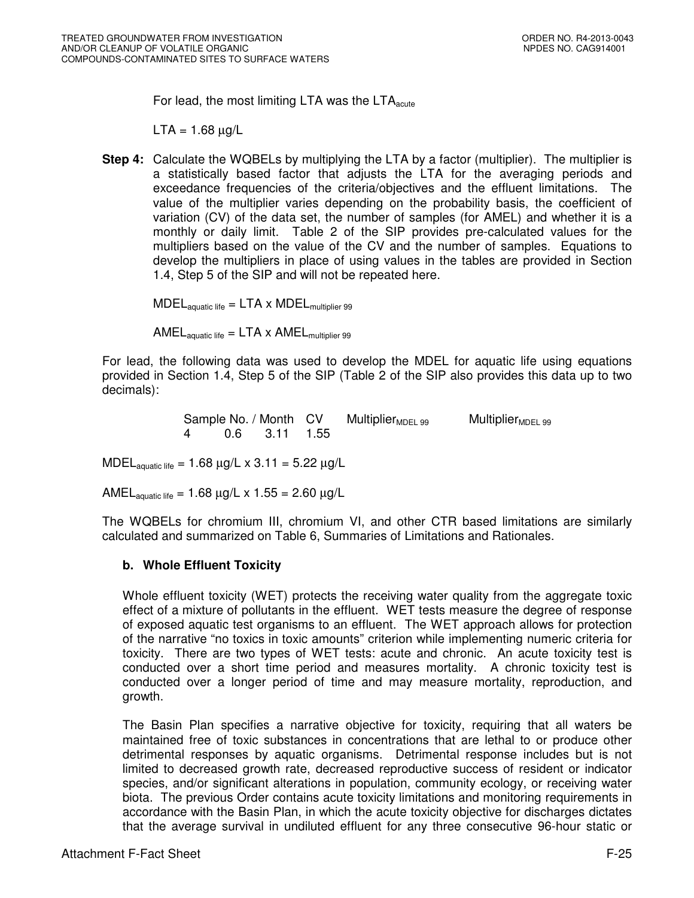For lead, the most limiting LTA was the  $LTA_{\text{acute}}$ 

 $LTA = 1.68 \mu g/L$ 

**Step 4:** Calculate the WQBELs by multiplying the LTA by a factor (multiplier). The multiplier is a statistically based factor that adjusts the LTA for the averaging periods and exceedance frequencies of the criteria/objectives and the effluent limitations. The value of the multiplier varies depending on the probability basis, the coefficient of variation (CV) of the data set, the number of samples (for AMEL) and whether it is a monthly or daily limit. Table 2 of the SIP provides pre-calculated values for the multipliers based on the value of the CV and the number of samples. Equations to develop the multipliers in place of using values in the tables are provided in Section 1.4, Step 5 of the SIP and will not be repeated here.

 $\text{MDEL}_{\text{aquatic life}} = \text{LTA} \times \text{MDEL}_{\text{multiplier 99}}$ 

AMEL $_{\text{aquatic life}} = \text{LTA} \times \text{AMEL}_{\text{multiplier 99}}$ 

For lead, the following data was used to develop the MDEL for aquatic life using equations provided in Section 1.4, Step 5 of the SIP (Table 2 of the SIP also provides this data up to two decimals):

> Sample No. / Month  $CV$  Multiplier<sub>MDEL 99</sub> Multiplier<sub>MDEL 99</sub> 4 0.6 3.11 1.55

MDEL<sub>aquatic life</sub> = 1.68  $\mu$ g/L x 3.11 = 5.22  $\mu$ g/L

AMEL<sub>aquatic</sub> life =  $1.68 \mu g/L \times 1.55 = 2.60 \mu g/L$ 

The WQBELs for chromium III, chromium VI, and other CTR based limitations are similarly calculated and summarized on Table 6, Summaries of Limitations and Rationales.

# **b. Whole Effluent Toxicity**

Whole effluent toxicity (WET) protects the receiving water quality from the aggregate toxic effect of a mixture of pollutants in the effluent. WET tests measure the degree of response of exposed aquatic test organisms to an effluent. The WET approach allows for protection of the narrative "no toxics in toxic amounts" criterion while implementing numeric criteria for toxicity. There are two types of WET tests: acute and chronic. An acute toxicity test is conducted over a short time period and measures mortality. A chronic toxicity test is conducted over a longer period of time and may measure mortality, reproduction, and growth.

The Basin Plan specifies a narrative objective for toxicity, requiring that all waters be maintained free of toxic substances in concentrations that are lethal to or produce other detrimental responses by aquatic organisms. Detrimental response includes but is not limited to decreased growth rate, decreased reproductive success of resident or indicator species, and/or significant alterations in population, community ecology, or receiving water biota. The previous Order contains acute toxicity limitations and monitoring requirements in accordance with the Basin Plan, in which the acute toxicity objective for discharges dictates that the average survival in undiluted effluent for any three consecutive 96-hour static or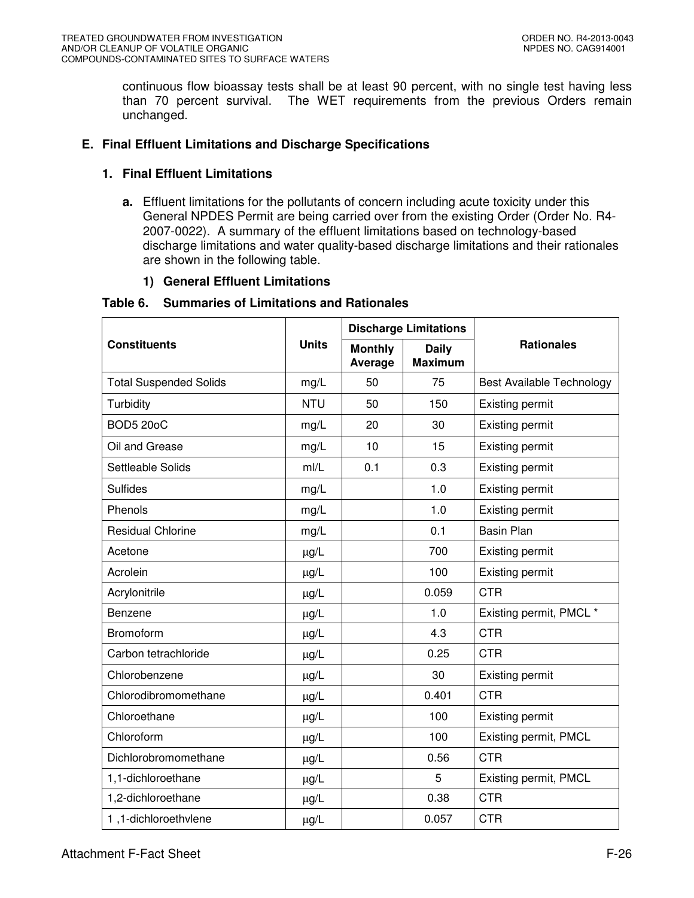continuous flow bioassay tests shall be at least 90 percent, with no single test having less than 70 percent survival. The WET requirements from the previous Orders remain unchanged.

# **E. Final Effluent Limitations and Discharge Specifications**

# **1. Final Effluent Limitations**

**a.** Effluent limitations for the pollutants of concern including acute toxicity under this General NPDES Permit are being carried over from the existing Order (Order No. R4- 2007-0022). A summary of the effluent limitations based on technology-based discharge limitations and water quality-based discharge limitations and their rationales are shown in the following table.

# **1) General Effluent Limitations**

# **Table 6. Summaries of Limitations and Rationales**

|                               |                                                           |     | <b>Discharge Limitations</b> |                                  |  |
|-------------------------------|-----------------------------------------------------------|-----|------------------------------|----------------------------------|--|
| <b>Constituents</b>           | <b>Units</b><br><b>Monthly</b><br><b>Daily</b><br>Average |     | <b>Maximum</b>               | <b>Rationales</b>                |  |
| <b>Total Suspended Solids</b> | mg/L                                                      | 50  | 75                           | <b>Best Available Technology</b> |  |
| Turbidity                     | <b>NTU</b>                                                | 50  | 150                          | <b>Existing permit</b>           |  |
| <b>BOD5 20oC</b>              | mg/L                                                      | 20  | 30                           | <b>Existing permit</b>           |  |
| Oil and Grease                | mg/L                                                      | 10  | 15                           | <b>Existing permit</b>           |  |
| Settleable Solids             | m/L                                                       | 0.1 | 0.3                          | Existing permit                  |  |
| <b>Sulfides</b>               | mg/L                                                      |     | 1.0                          | <b>Existing permit</b>           |  |
| Phenols                       | mg/L                                                      |     | 1.0                          | Existing permit                  |  |
| <b>Residual Chlorine</b>      | mg/L                                                      |     | 0.1                          | <b>Basin Plan</b>                |  |
| Acetone                       | $\mu$ g/L                                                 |     | 700                          | Existing permit                  |  |
| Acrolein                      | $\mu g/L$                                                 |     | 100                          | <b>Existing permit</b>           |  |
| Acrylonitrile                 | $\mu$ g/L                                                 |     | 0.059                        | <b>CTR</b>                       |  |
| Benzene                       | $\mu$ g/L                                                 |     | 1.0                          | Existing permit, PMCL *          |  |
| <b>Bromoform</b>              | $\mu$ g/L                                                 |     | 4.3                          | <b>CTR</b>                       |  |
| Carbon tetrachloride          | $\mu$ g/L                                                 |     | 0.25                         | <b>CTR</b>                       |  |
| Chlorobenzene                 | $\mu$ g/L                                                 |     | 30                           | Existing permit                  |  |
| Chlorodibromomethane          | $\mu g/L$                                                 |     | 0.401                        | <b>CTR</b>                       |  |
| Chloroethane                  | $\mu$ g/L                                                 |     | 100                          | Existing permit                  |  |
| Chloroform                    | $\mu$ g/L                                                 |     | 100                          | Existing permit, PMCL            |  |
| Dichlorobromomethane          | $\mu$ g/L                                                 |     | 0.56                         | <b>CTR</b>                       |  |
| 1,1-dichloroethane            | $\mu g/L$                                                 |     | 5                            | Existing permit, PMCL            |  |
| 1,2-dichloroethane            | $\mu$ g/L                                                 |     | 0.38                         | <b>CTR</b>                       |  |
| 1.1-dichloroethvlene          | $\mu$ g/L                                                 |     | 0.057                        | <b>CTR</b>                       |  |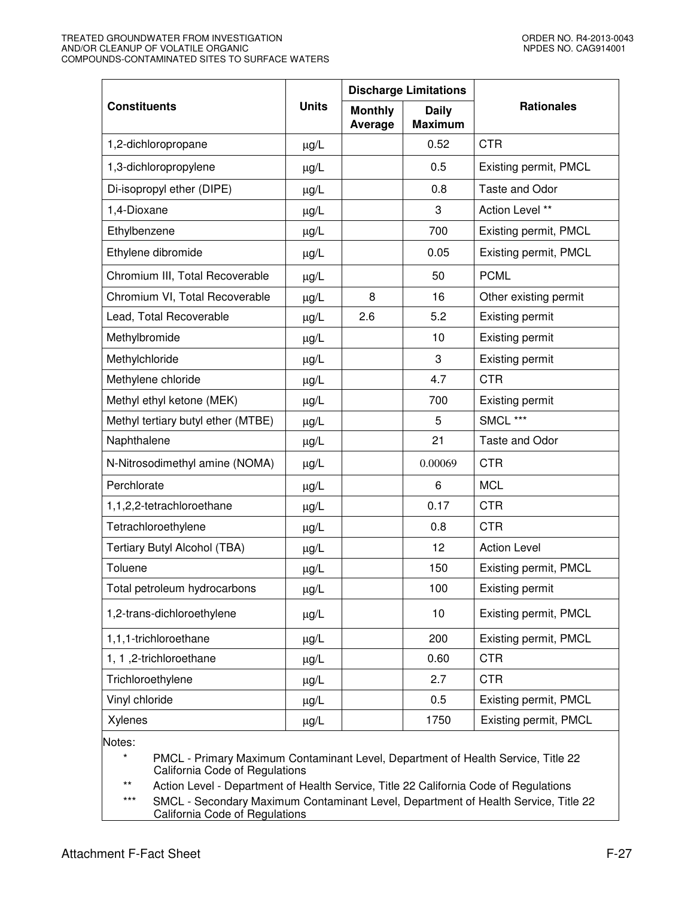#### TREATED GROUNDWATER FROM INVESTIGATION ORDER NO. R4-2013-0043 AND/OR CLEANUP OF VOLATILE ORGANIC NARROW ON DESIGN ON DESIGN ON DESIGN ON DESIGN OF A DESIGN OF A DESIGN OF A COMPOUNDS-CONTAMINATED SITES TO SURFACE WATERS

|                                    |              |                           | <b>Discharge Limitations</b>   |                       |
|------------------------------------|--------------|---------------------------|--------------------------------|-----------------------|
| <b>Constituents</b>                | <b>Units</b> | <b>Monthly</b><br>Average | <b>Daily</b><br><b>Maximum</b> | <b>Rationales</b>     |
| 1,2-dichloropropane                | $\mu$ g/L    |                           | 0.52                           | <b>CTR</b>            |
| 1,3-dichloropropylene              | $\mu$ g/L    |                           | 0.5                            | Existing permit, PMCL |
| Di-isopropyl ether (DIPE)          | $\mu$ g/L    |                           | 0.8                            | Taste and Odor        |
| 1,4-Dioxane                        | µg/L         |                           | 3                              | Action Level **       |
| Ethylbenzene                       | $\mu$ g/L    |                           | 700                            | Existing permit, PMCL |
| Ethylene dibromide                 | µg/L         |                           | 0.05                           | Existing permit, PMCL |
| Chromium III, Total Recoverable    | $\mu$ g/L    |                           | 50                             | <b>PCML</b>           |
| Chromium VI, Total Recoverable     | $\mu$ g/L    | 8                         | 16                             | Other existing permit |
| Lead, Total Recoverable            | $\mu$ g/L    | 2.6                       | 5.2                            | Existing permit       |
| Methylbromide                      | $\mu$ g/L    |                           | 10                             | Existing permit       |
| Methylchloride                     | $\mu$ g/L    |                           | 3                              | Existing permit       |
| Methylene chloride                 | $\mu$ g/L    |                           | 4.7                            | <b>CTR</b>            |
| Methyl ethyl ketone (MEK)          | µg/L         |                           | 700                            | Existing permit       |
| Methyl tertiary butyl ether (MTBE) | µg/L         |                           | 5                              | SMCL ***              |
| Naphthalene                        | $\mu$ g/L    |                           | 21                             | Taste and Odor        |
| N-Nitrosodimethyl amine (NOMA)     | $\mu$ g/L    |                           | 0.00069                        | <b>CTR</b>            |
| Perchlorate                        | µg/L         |                           | 6                              | <b>MCL</b>            |
| 1,1,2,2-tetrachloroethane          | $\mu$ g/L    |                           | 0.17                           | <b>CTR</b>            |
| Tetrachloroethylene                | $\mu$ g/L    |                           | 0.8                            | <b>CTR</b>            |
| Tertiary Butyl Alcohol (TBA)       | $\mu$ g/L    |                           | 12                             | <b>Action Level</b>   |
| Toluene                            | $\mu$ g/L    |                           | 150                            | Existing permit, PMCL |
| Total petroleum hydrocarbons       | µg/L         |                           | 100                            | Existing permit       |
| 1,2-trans-dichloroethylene         | µg/L         |                           | 10                             | Existing permit, PMCL |
| 1,1,1-trichloroethane              | µg/L         |                           | 200                            | Existing permit, PMCL |
| 1, 1, 2-trichloroethane            | $\mu$ g/L    |                           | 0.60                           | <b>CTR</b>            |
| Trichloroethylene                  | µg/L         |                           | 2.7                            | <b>CTR</b>            |
| Vinyl chloride                     | $\mu$ g/L    |                           | 0.5                            | Existing permit, PMCL |
| Xylenes                            | µg/L         |                           | 1750                           | Existing permit, PMCL |
| $N$ $\sim$ too:                    |              |                           |                                |                       |

nes:

PMCL - Primary Maximum Contaminant Level, Department of Health Service, Title 22 California Code of Regulations

\*\* Action Level - Department of Health Service, Title 22 California Code of Regulations

\*\*\* SMCL - Secondary Maximum Contaminant Level, Department of Health Service, Title 22 California Code of Regulations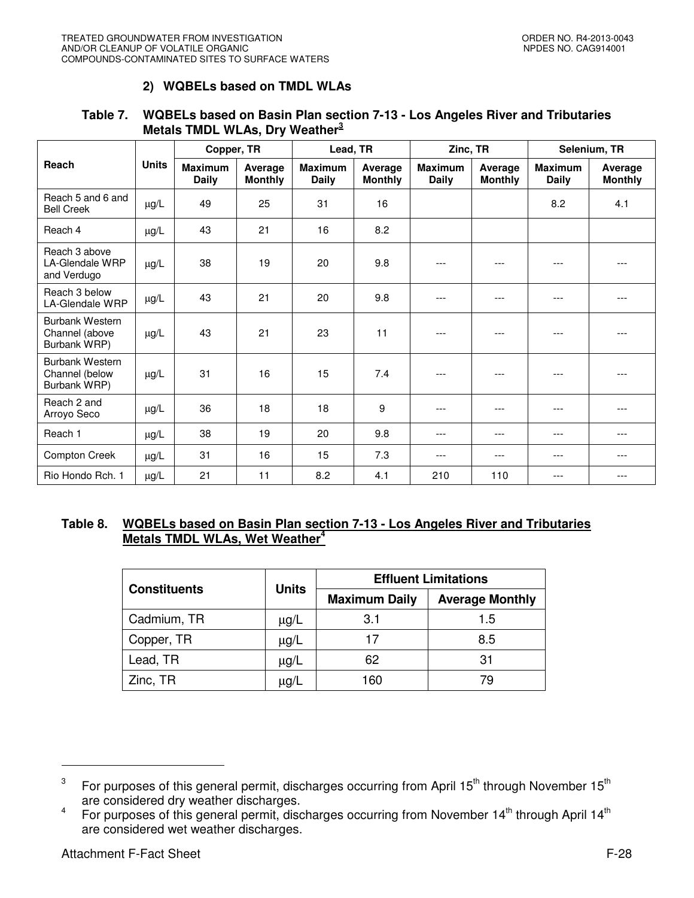# **2) WQBELs based on TMDL WLAs**

# **Table 7. WQBELs based on Basin Plan section 7-13 - Los Angeles River and Tributaries Metals TMDL WLAs, Dry Weather<sup>3</sup>**

|                                                          |              | Copper, TR                     | Lead, TR                  |                                | Zinc, TR                  |                         |                           |                                | Selenium, TR              |  |
|----------------------------------------------------------|--------------|--------------------------------|---------------------------|--------------------------------|---------------------------|-------------------------|---------------------------|--------------------------------|---------------------------|--|
| Reach                                                    | <b>Units</b> | <b>Maximum</b><br><b>Daily</b> | Average<br><b>Monthly</b> | <b>Maximum</b><br><b>Daily</b> | Average<br><b>Monthly</b> | <b>Maximum</b><br>Daily | Average<br><b>Monthly</b> | <b>Maximum</b><br><b>Daily</b> | Average<br><b>Monthly</b> |  |
| Reach 5 and 6 and<br><b>Bell Creek</b>                   | $\mu g/L$    | 49                             | 25                        | 31                             | 16                        |                         |                           | 8.2                            | 4.1                       |  |
| Reach 4                                                  | $\mu$ g/L    | 43                             | 21                        | 16                             | 8.2                       |                         |                           |                                |                           |  |
| Reach 3 above<br>LA-Glendale WRP<br>and Verdugo          | $\mu g/L$    | 38                             | 19                        | 20                             | 9.8                       | ---                     | ---                       | ---                            |                           |  |
| Reach 3 below<br><b>LA-Glendale WRP</b>                  | $\mu$ g/L    | 43                             | 21                        | 20                             | 9.8                       | ---                     |                           | ---                            | ---                       |  |
| <b>Burbank Western</b><br>Channel (above<br>Burbank WRP) | $\mu$ g/L    | 43                             | 21                        | 23                             | 11                        | $---$                   | ---                       | $---$                          | $---$                     |  |
| <b>Burbank Western</b><br>Channel (below<br>Burbank WRP) | $\mu$ g/L    | 31                             | 16                        | 15                             | 7.4                       | ---                     |                           |                                |                           |  |
| Reach 2 and<br>Arroyo Seco                               | $\mu$ g/L    | 36                             | 18                        | 18                             | 9                         | ---                     | ---                       | $- - -$                        | $- - -$                   |  |
| Reach 1                                                  | $\mu$ g/L    | 38                             | 19                        | 20                             | 9.8                       | ---                     | ---                       | ---                            | ---                       |  |
| <b>Compton Creek</b>                                     | $\mu$ g/L    | 31                             | 16                        | 15                             | 7.3                       | ---                     | ---                       | ---                            | ---                       |  |
| Rio Hondo Rch. 1                                         | $\mu$ g/L    | 21                             | 11                        | 8.2                            | 4.1                       | 210                     | 110                       | ---                            | ---                       |  |

# **Table 8. WQBELs based on Basin Plan section 7-13 - Los Angeles River and Tributaries Metals TMDL WLAs, Wet Weather<sup>4</sup>**

|                     | <b>Units</b> | <b>Effluent Limitations</b> |                        |  |
|---------------------|--------------|-----------------------------|------------------------|--|
| <b>Constituents</b> |              | <b>Maximum Daily</b>        | <b>Average Monthly</b> |  |
| Cadmium, TR         | $\mu$ g/L    | 3.1                         | 1.5                    |  |
| Copper, TR          | $\mu$ g/L    | 17                          | 8.5                    |  |
| Lead, TR            | $\mu$ g/L    | 62                          | 31                     |  |
| Zinc, TR            | μg/L         | 160                         | 79                     |  |

 $\overline{a}$ 

<sup>3</sup> For purposes of this general permit, discharges occurring from April 15<sup>th</sup> through November 15<sup>th</sup> are considered dry weather discharges.

<sup>4</sup> For purposes of this general permit, discharges occurring from November 14<sup>th</sup> through April 14<sup>th</sup> are considered wet weather discharges.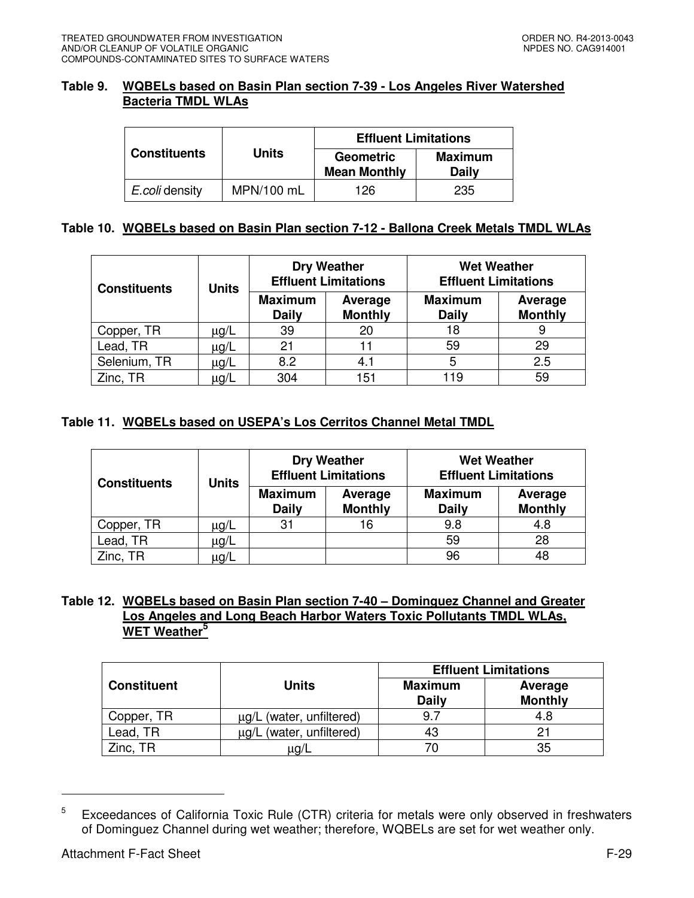### **Table 9. WQBELs based on Basin Plan section 7-39 - Los Angeles River Watershed Bacteria TMDL WLAs**

|                     |              | <b>Effluent Limitations</b>             |                                |  |  |
|---------------------|--------------|-----------------------------------------|--------------------------------|--|--|
| <b>Constituents</b> | <b>Units</b> | <b>Geometric</b><br><b>Mean Monthly</b> | <b>Maximum</b><br><b>Daily</b> |  |  |
| E.coli density      | MPN/100 mL   | 126                                     | 235                            |  |  |

# **Table 10. WQBELs based on Basin Plan section 7-12 - Ballona Creek Metals TMDL WLAs**

| <b>Constituents</b> | <b>Units</b> |                                | <b>Dry Weather</b><br><b>Effluent Limitations</b> | <b>Wet Weather</b><br><b>Effluent Limitations</b> |                           |  |
|---------------------|--------------|--------------------------------|---------------------------------------------------|---------------------------------------------------|---------------------------|--|
|                     |              | <b>Maximum</b><br><b>Daily</b> | Average<br><b>Monthly</b>                         | <b>Maximum</b><br><b>Daily</b>                    | Average<br><b>Monthly</b> |  |
| Copper, TR          | μg/L         | 39                             | 20                                                | 18                                                | 9                         |  |
| Lead, TR            | μg/L         | 21                             | 11                                                | 59                                                | 29                        |  |
| Selenium, TR        | μg/L         | 8.2                            | 4.1                                               | 5                                                 | 2.5                       |  |
| Zinc, TR            | μg/L         | 304                            | 151                                               | 119                                               | 59                        |  |

# **Table 11. WQBELs based on USEPA's Los Cerritos Channel Metal TMDL**

| Units<br><b>Constituents</b> |      |                                | <b>Dry Weather</b><br><b>Effluent Limitations</b> | <b>Wet Weather</b><br><b>Effluent Limitations</b> |                           |  |
|------------------------------|------|--------------------------------|---------------------------------------------------|---------------------------------------------------|---------------------------|--|
|                              |      | <b>Maximum</b><br><b>Daily</b> | Average<br><b>Monthly</b>                         | <b>Maximum</b><br><b>Daily</b>                    | Average<br><b>Monthly</b> |  |
| Copper, TR                   | μg/L | 31                             | 16                                                | 9.8                                               | 4.8                       |  |
| Lead, TR                     | μg/L |                                |                                                   | 59                                                | 28                        |  |
| Zinc, TR                     | μg/L |                                |                                                   | 96                                                | 48                        |  |

# **Table 12. WQBELs based on Basin Plan section 7-40 – Dominguez Channel and Greater Los Angeles and Long Beach Harbor Waters Toxic Pollutants TMDL WLAs, WET Weather<sup>5</sup>**

|                    |                                  | <b>Effluent Limitations</b>    |                           |  |  |
|--------------------|----------------------------------|--------------------------------|---------------------------|--|--|
| <b>Constituent</b> | <b>Units</b>                     | <b>Maximum</b><br><b>Daily</b> | Average<br><b>Monthly</b> |  |  |
| Copper, TR         | µg/L (water, unfiltered)         | 9.7                            | 4.8                       |  |  |
| Lead, TR           | (water, unfiltered)<br>$\mu$ g/L | 43                             |                           |  |  |
| Zinc. TR           | μg/L                             |                                | 35                        |  |  |

<sup>5</sup> Exceedances of California Toxic Rule (CTR) criteria for metals were only observed in freshwaters of Dominguez Channel during wet weather; therefore, WQBELs are set for wet weather only.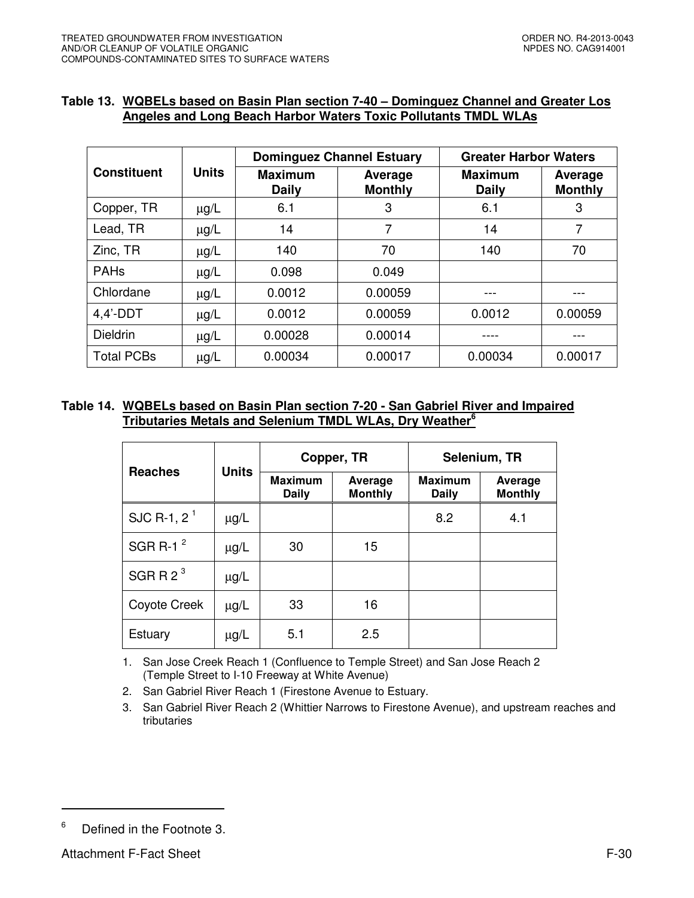# **Table 13. WQBELs based on Basin Plan section 7-40 – Dominguez Channel and Greater Los Angeles and Long Beach Harbor Waters Toxic Pollutants TMDL WLAs**

|                    |              | <b>Dominguez Channel Estuary</b> |                           | <b>Greater Harbor Waters</b>   |                           |
|--------------------|--------------|----------------------------------|---------------------------|--------------------------------|---------------------------|
| <b>Constituent</b> | <b>Units</b> | <b>Maximum</b><br><b>Daily</b>   | Average<br><b>Monthly</b> | <b>Maximum</b><br><b>Daily</b> | Average<br><b>Monthly</b> |
| Copper, TR         | $\mu$ g/L    | 6.1                              | 3                         | 6.1                            | 3                         |
| Lead, TR           | $\mu$ g/L    | 14                               | 7                         | 14                             | 7                         |
| Zinc, TR           | $\mu$ g/L    | 140                              | 70                        | 140                            | 70                        |
| <b>PAHs</b>        | $\mu$ g/L    | 0.098                            | 0.049                     |                                |                           |
| Chlordane          | $\mu$ g/L    | 0.0012                           | 0.00059                   |                                |                           |
| $4,4'$ -DDT        | $\mu$ g/L    | 0.0012                           | 0.00059                   | 0.0012                         | 0.00059                   |
| <b>Dieldrin</b>    | $\mu$ g/L    | 0.00028                          | 0.00014                   |                                |                           |
| <b>Total PCBs</b>  | $\mu$ g/L    | 0.00034                          | 0.00017                   | 0.00034                        | 0.00017                   |

# **Table 14. WQBELs based on Basin Plan section 7-20 - San Gabriel River and Impaired Tributaries Metals and Selenium TMDL WLAs, Dry Weather<sup>6</sup>**

|                | <b>Units</b> |                                | Copper, TR                | Selenium, TR                   |                           |  |
|----------------|--------------|--------------------------------|---------------------------|--------------------------------|---------------------------|--|
| <b>Reaches</b> |              | <b>Maximum</b><br><b>Daily</b> | Average<br><b>Monthly</b> | <b>Maximum</b><br><b>Daily</b> | Average<br><b>Monthly</b> |  |
| SJC R-1, $2^1$ | $\mu$ g/L    |                                |                           | 8.2                            | 4.1                       |  |
| SGR R-1 $2$    | $\mu$ g/L    | 30                             | 15                        |                                |                           |  |
| SGRR $2^3$     | $\mu$ g/L    |                                |                           |                                |                           |  |
| Coyote Creek   | $\mu$ g/L    | 33                             | 16                        |                                |                           |  |
| Estuary        | $\mu$ g/L    | 5.1                            | 2.5                       |                                |                           |  |

1. San Jose Creek Reach 1 (Confluence to Temple Street) and San Jose Reach 2 (Temple Street to I-10 Freeway at White Avenue)

2. San Gabriel River Reach 1 (Firestone Avenue to Estuary.

3. San Gabriel River Reach 2 (Whittier Narrows to Firestone Avenue), and upstream reaches and tributaries

<sup>6</sup> Defined in the Footnote 3.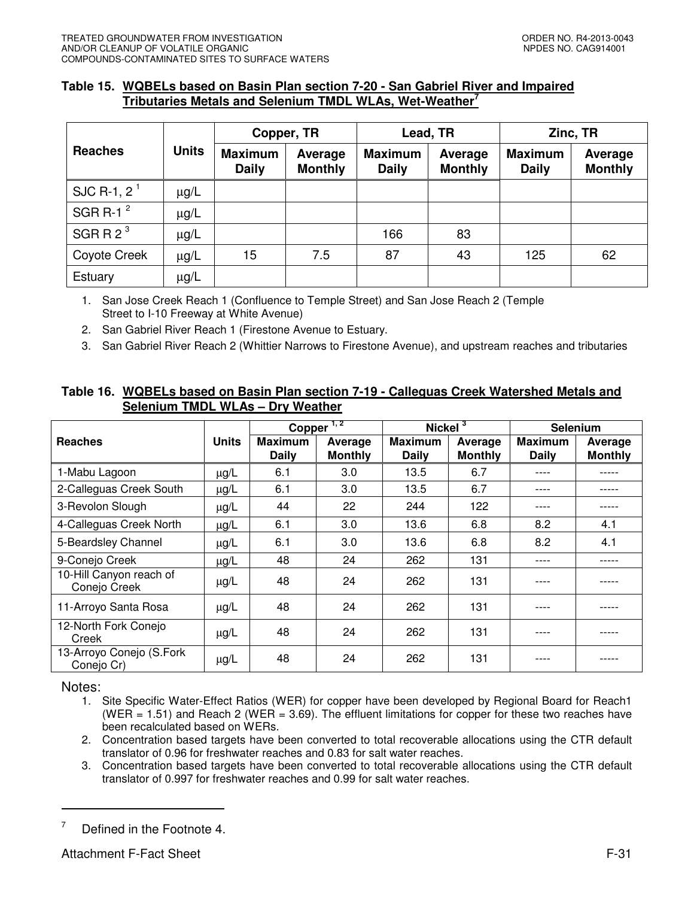### **Table 15. WQBELs based on Basin Plan section 7-20 - San Gabriel River and Impaired Tributaries Metals and Selenium TMDL WLAs, Wet-Weather<sup>7</sup>**

|                |              | Copper, TR                     |                           |                                | Lead, TR                  | Zinc, TR                       |                           |
|----------------|--------------|--------------------------------|---------------------------|--------------------------------|---------------------------|--------------------------------|---------------------------|
| <b>Reaches</b> | <b>Units</b> | <b>Maximum</b><br><b>Daily</b> | Average<br><b>Monthly</b> | <b>Maximum</b><br><b>Daily</b> | Average<br><b>Monthly</b> | <b>Maximum</b><br><b>Daily</b> | Average<br><b>Monthly</b> |
| SJC R-1, $2^1$ | $\mu$ g/L    |                                |                           |                                |                           |                                |                           |
| SGR R-1 $^2$   | $\mu$ g/L    |                                |                           |                                |                           |                                |                           |
| SGRR $2^3$     | $\mu$ g/L    |                                |                           | 166                            | 83                        |                                |                           |
| Coyote Creek   | $\mu$ g/L    | 15                             | 7.5                       | 87                             | 43                        | 125                            | 62                        |
| Estuary        | $\mu$ g/L    |                                |                           |                                |                           |                                |                           |

1. San Jose Creek Reach 1 (Confluence to Temple Street) and San Jose Reach 2 (Temple Street to I-10 Freeway at White Avenue)

2. San Gabriel River Reach 1 (Firestone Avenue to Estuary.

3. San Gabriel River Reach 2 (Whittier Narrows to Firestone Avenue), and upstream reaches and tributaries

# **Table 16. WQBELs based on Basin Plan section 7-19 - Calleguas Creek Watershed Metals and Selenium TMDL WLAs – Dry Weather**

|                                         |           | Copper                  | 1, 2                      | Nickel $3$              |                           | <b>Selenium</b>         |                           |
|-----------------------------------------|-----------|-------------------------|---------------------------|-------------------------|---------------------------|-------------------------|---------------------------|
| <b>Reaches</b>                          | Units     | <b>Maximum</b><br>Daily | Average<br><b>Monthly</b> | <b>Maximum</b><br>Daily | Average<br><b>Monthly</b> | <b>Maximum</b><br>Daily | Average<br><b>Monthly</b> |
| 1-Mabu Lagoon                           | $\mu$ g/L | 6.1                     | 3.0                       | 13.5                    | 6.7                       | ----                    |                           |
| 2-Calleguas Creek South                 | $\mu$ g/L | 6.1                     | 3.0                       | 13.5                    | 6.7                       | ----                    |                           |
| 3-Revolon Slough                        | $\mu$ g/L | 44                      | 22                        | 244                     | 122                       | ----                    |                           |
| 4-Calleguas Creek North                 | $\mu$ g/L | 6.1                     | 3.0                       | 13.6                    | 6.8                       | 8.2                     | 4.1                       |
| 5-Beardsley Channel                     | $\mu$ g/L | 6.1                     | 3.0                       | 13.6                    | 6.8                       | 8.2                     | 4.1                       |
| 9-Conejo Creek                          | μg/L      | 48                      | 24                        | 262                     | 131                       | ----                    | -----                     |
| 10-Hill Canyon reach of<br>Conejo Creek | $\mu$ g/L | 48                      | 24                        | 262                     | 131                       | ----                    |                           |
| 11-Arroyo Santa Rosa                    | $\mu$ g/L | 48                      | 24                        | 262                     | 131                       | ----                    |                           |
| 12-North Fork Conejo<br>Creek           | $\mu$ g/L | 48                      | 24                        | 262                     | 131                       | ----                    |                           |
| 13-Arroyo Conejo (S.Fork<br>Conejo Cr)  | $\mu$ g/L | 48                      | 24                        | 262                     | 131                       | ----                    |                           |

Notes:

- 1. Site Specific Water-Effect Ratios (WER) for copper have been developed by Regional Board for Reach1 (WER = 1.51) and Reach 2 (WER = 3.69). The effluent limitations for copper for these two reaches have been recalculated based on WERs.
- 2. Concentration based targets have been converted to total recoverable allocations using the CTR default translator of 0.96 for freshwater reaches and 0.83 for salt water reaches.
- 3. Concentration based targets have been converted to total recoverable allocations using the CTR default translator of 0.997 for freshwater reaches and 0.99 for salt water reaches.

<sup>7</sup> Defined in the Footnote 4.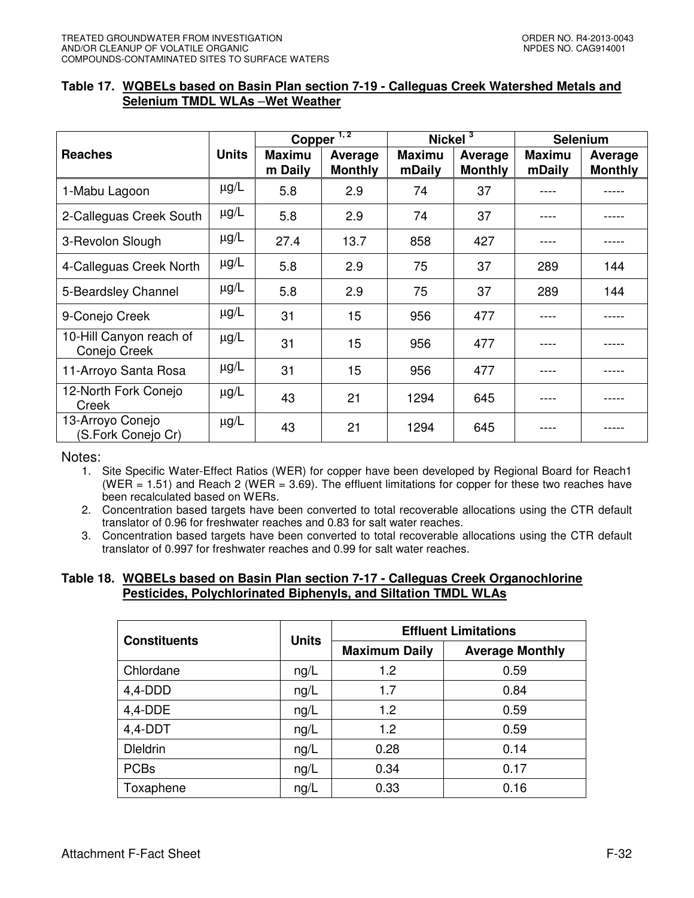# **Table 17. WQBELs based on Basin Plan section 7-19 - Calleguas Creek Watershed Metals and Selenium TMDL WLAs** –**Wet Weather**

|                                         |              |                          | Copper <sup><math>1,2</math></sup> | Nickel $3$              |                           |                         | Selenium                  |
|-----------------------------------------|--------------|--------------------------|------------------------------------|-------------------------|---------------------------|-------------------------|---------------------------|
| <b>Reaches</b>                          | <b>Units</b> | <b>Maximu</b><br>m Daily | Average<br><b>Monthly</b>          | <b>Maximu</b><br>mDaily | Average<br><b>Monthly</b> | <b>Maximu</b><br>mDaily | Average<br><b>Monthly</b> |
| 1-Mabu Lagoon                           | $\mu$ g/L    | 5.8                      | 2.9                                | 74                      | 37                        |                         |                           |
| 2-Calleguas Creek South                 | $\mu$ g/L    | 5.8                      | 2.9                                | 74                      | 37                        |                         |                           |
| 3-Revolon Slough                        | $\mu$ g/L    | 27.4                     | 13.7                               | 858                     | 427                       |                         |                           |
| 4-Calleguas Creek North                 | $\mu$ g/L    | 5.8                      | 2.9                                | 75                      | 37                        | 289                     | 144                       |
| 5-Beardsley Channel                     | $\mu$ g/L    | 5.8                      | 2.9                                | 75                      | 37                        | 289                     | 144                       |
| 9-Conejo Creek                          | $\mu$ g/L    | 31                       | 15                                 | 956                     | 477                       |                         |                           |
| 10-Hill Canyon reach of<br>Conejo Creek | $\mu$ g/L    | 31                       | 15                                 | 956                     | 477                       |                         |                           |
| 11-Arroyo Santa Rosa                    | $\mu$ g/L    | 31                       | 15                                 | 956                     | 477                       |                         |                           |
| 12-North Fork Conejo<br>Creek           | $\mu$ g/L    | 43                       | 21                                 | 1294                    | 645                       |                         |                           |
| 13-Arroyo Conejo<br>(S.Fork Conejo Cr)  | $\mu$ g/L    | 43                       | 21                                 | 1294                    | 645                       |                         |                           |

### Notes:

- 1. Site Specific Water-Effect Ratios (WER) for copper have been developed by Regional Board for Reach1 (WER = 1.51) and Reach 2 (WER = 3.69). The effluent limitations for copper for these two reaches have been recalculated based on WERs.
- 2. Concentration based targets have been converted to total recoverable allocations using the CTR default translator of 0.96 for freshwater reaches and 0.83 for salt water reaches.
- 3. Concentration based targets have been converted to total recoverable allocations using the CTR default translator of 0.997 for freshwater reaches and 0.99 for salt water reaches.

### **Table 18. WQBELs based on Basin Plan section 7-17 - Calleguas Creek Organochlorine Pesticides, Polychlorinated Biphenyls, and Siltation TMDL WLAs**

| <b>Constituents</b> | <b>Units</b> | <b>Effluent Limitations</b> |                        |  |  |
|---------------------|--------------|-----------------------------|------------------------|--|--|
|                     |              | <b>Maximum Daily</b>        | <b>Average Monthly</b> |  |  |
| Chlordane           | ng/L         | 1.2                         | 0.59                   |  |  |
| $4,4$ -DDD          | ng/L         | 1.7                         | 0.84                   |  |  |
| $4,4$ -DDE          | ng/L         | 1.2                         | 0.59                   |  |  |
| $4,4$ -DDT          | ng/L         | 1.2                         | 0.59                   |  |  |
| <b>Dleldrin</b>     | ng/L         | 0.28                        | 0.14                   |  |  |
| <b>PCBs</b>         | ng/L         | 0.34                        | 0.17                   |  |  |
| Toxaphene           | ng/L         | 0.33                        | 0.16                   |  |  |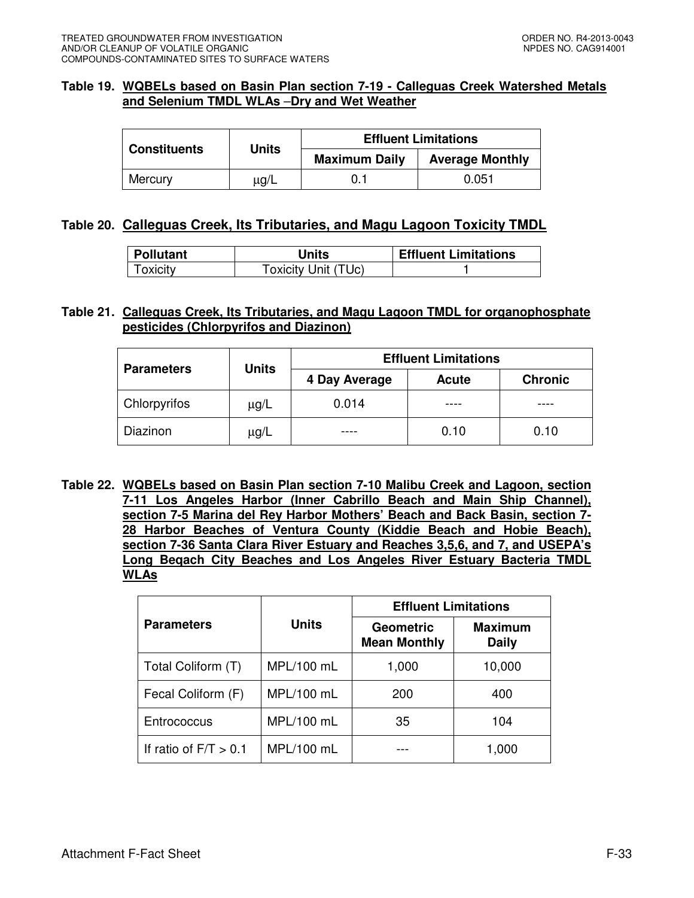### **Table 19. WQBELs based on Basin Plan section 7-19 - Calleguas Creek Watershed Metals and Selenium TMDL WLAs** –**Dry and Wet Weather**

| <b>Constituents</b> | <b>Units</b> |                                                | <b>Effluent Limitations</b> |  |
|---------------------|--------------|------------------------------------------------|-----------------------------|--|
|                     |              | <b>Average Monthly</b><br><b>Maximum Daily</b> |                             |  |
| Mercury             | μg/L         | 0.1                                            | 0.051                       |  |

# **Table 20. Calleguas Creek, Its Tributaries, and Magu Lagoon Toxicity TMDL**

| Pollutant | Units               | <b>Effluent Limitations</b> |
|-----------|---------------------|-----------------------------|
| Toxicity  | Toxicity Unit (TUc) |                             |

### **Table 21. Calleguas Creek, Its Tributaries, and Magu Lagoon TMDL for organophosphate pesticides (Chlorpyrifos and Diazinon)**

|                   | <b>Units</b> |               | <b>Effluent Limitations</b> |                |  |
|-------------------|--------------|---------------|-----------------------------|----------------|--|
| <b>Parameters</b> |              | 4 Day Average | <b>Acute</b>                | <b>Chronic</b> |  |
| Chlorpyrifos      | $\mu$ g/L    | 0.014         |                             |                |  |
| Diazinon          | $\mu$ g/L    |               | 0.10                        | 0.10           |  |

**Table 22. WQBELs based on Basin Plan section 7-10 Malibu Creek and Lagoon, section 7-11 Los Angeles Harbor (Inner Cabrillo Beach and Main Ship Channel), section 7-5 Marina del Rey Harbor Mothers' Beach and Back Basin, section 7- 28 Harbor Beaches of Ventura County (Kiddie Beach and Hobie Beach), section 7-36 Santa Clara River Estuary and Reaches 3,5,6, and 7, and USEPA's Long Beqach City Beaches and Los Angeles River Estuary Bacteria TMDL WLAs** 

|                         |              | <b>Effluent Limitations</b>             |                                |  |
|-------------------------|--------------|-----------------------------------------|--------------------------------|--|
| <b>Parameters</b>       | <b>Units</b> | <b>Geometric</b><br><b>Mean Monthly</b> | <b>Maximum</b><br><b>Daily</b> |  |
| Total Coliform (T)      | MPL/100 mL   | 1,000                                   | 10,000                         |  |
| Fecal Coliform (F)      | MPL/100 mL   | 200                                     | 400                            |  |
| Entrococcus             | MPL/100 mL   | 35                                      | 104                            |  |
| If ratio of $F/T > 0.1$ | MPL/100 mL   |                                         | 1,000                          |  |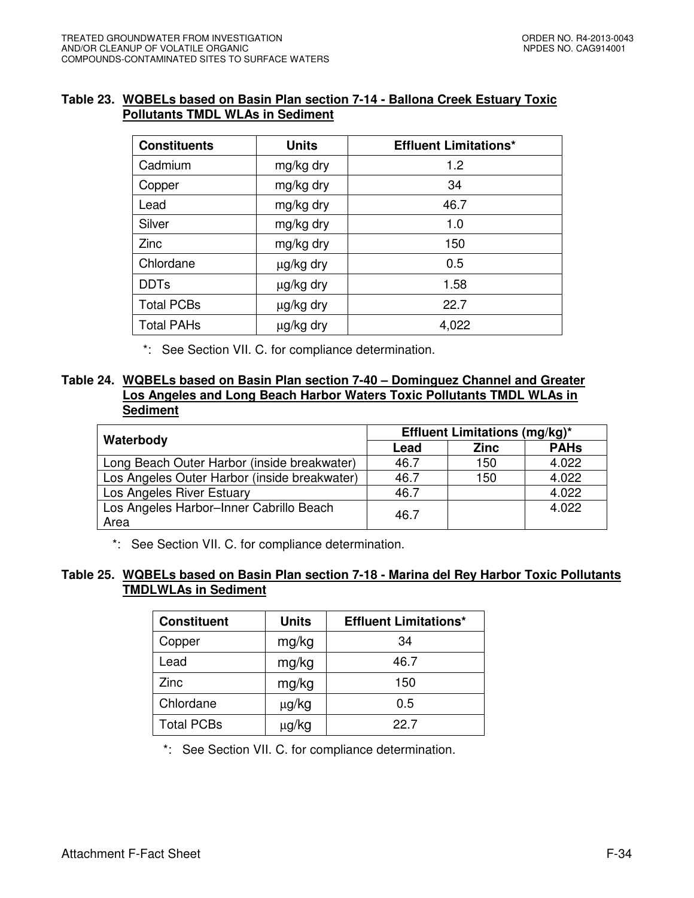# **Table 23. WQBELs based on Basin Plan section 7-14 - Ballona Creek Estuary Toxic Pollutants TMDL WLAs in Sediment**

| <b>Constituents</b> | <b>Units</b> | <b>Effluent Limitations*</b> |
|---------------------|--------------|------------------------------|
| Cadmium             | mg/kg dry    | 1.2                          |
| Copper              | mg/kg dry    | 34                           |
| Lead                | mg/kg dry    | 46.7                         |
| Silver              | mg/kg dry    | 1.0                          |
| Zinc                | mg/kg dry    | 150                          |
| Chlordane           | µg/kg dry    | 0.5                          |
| <b>DDTs</b>         | µg/kg dry    | 1.58                         |
| <b>Total PCBs</b>   | µg/kg dry    | 22.7                         |
| <b>Total PAHs</b>   | µg/kg dry    | 4,022                        |

\*: See Section VII. C. for compliance determination.

# **Table 24. WQBELs based on Basin Plan section 7-40 – Dominguez Channel and Greater Los Angeles and Long Beach Harbor Waters Toxic Pollutants TMDL WLAs in Sediment**

|                                                 | <b>Effluent Limitations (mg/kg)*</b> |             |             |  |
|-------------------------------------------------|--------------------------------------|-------------|-------------|--|
| Waterbody                                       | Lead                                 | <b>Zinc</b> | <b>PAHs</b> |  |
| Long Beach Outer Harbor (inside breakwater)     | 46.7                                 | 150         | 4.022       |  |
| Los Angeles Outer Harbor (inside breakwater)    | 46.7                                 | 150         | 4.022       |  |
| Los Angeles River Estuary                       | 46.7                                 |             | 4.022       |  |
| Los Angeles Harbor-Inner Cabrillo Beach<br>Area | 46.7                                 |             | 4.022       |  |

\*: See Section VII. C. for compliance determination.

# **Table 25. WQBELs based on Basin Plan section 7-18 - Marina del Rey Harbor Toxic Pollutants TMDLWLAs in Sediment**

| <b>Constituent</b> | <b>Units</b> | <b>Effluent Limitations*</b> |
|--------------------|--------------|------------------------------|
| Copper             | mg/kg        | 34                           |
| Lead               | mg/kg        | 46.7                         |
| Zinc               | mg/kg        | 150                          |
| Chlordane          | µg/kg        | 0.5                          |
| <b>Total PCBs</b>  | μg/kg        | 22.7                         |

\*: See Section VII. C. for compliance determination.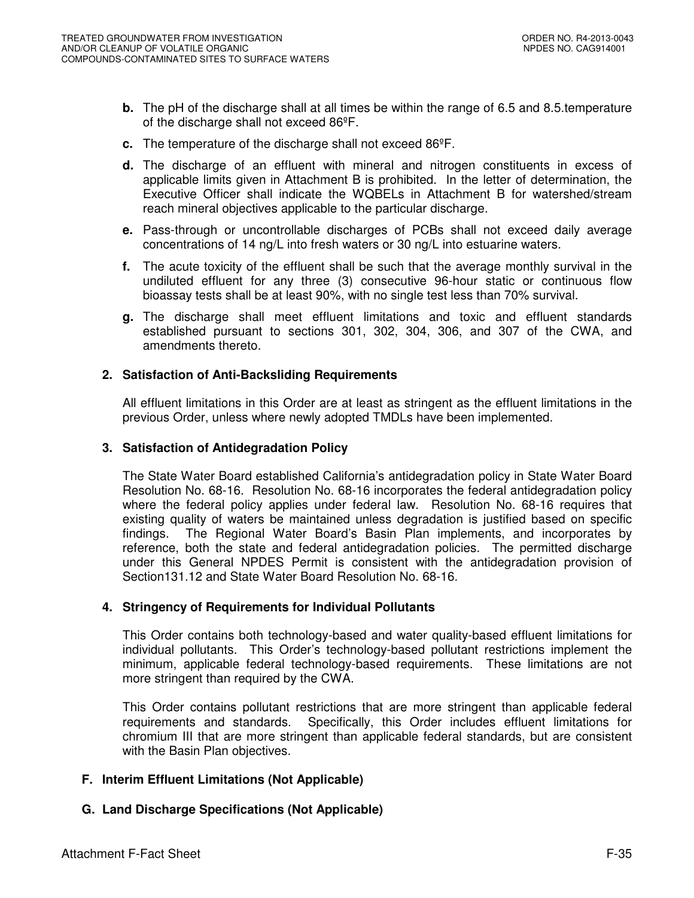- **b.** The pH of the discharge shall at all times be within the range of 6.5 and 8.5 temperature of the discharge shall not exceed 86ºF.
- **c.** The temperature of the discharge shall not exceed 86ºF.
- **d.** The discharge of an effluent with mineral and nitrogen constituents in excess of applicable limits given in Attachment B is prohibited. In the letter of determination, the Executive Officer shall indicate the WQBELs in Attachment B for watershed/stream reach mineral objectives applicable to the particular discharge.
- **e.** Pass-through or uncontrollable discharges of PCBs shall not exceed daily average concentrations of 14 ng/L into fresh waters or 30 ng/L into estuarine waters.
- **f.** The acute toxicity of the effluent shall be such that the average monthly survival in the undiluted effluent for any three (3) consecutive 96-hour static or continuous flow bioassay tests shall be at least 90%, with no single test less than 70% survival.
- **g.** The discharge shall meet effluent limitations and toxic and effluent standards established pursuant to sections 301, 302, 304, 306, and 307 of the CWA, and amendments thereto.

### **2. Satisfaction of Anti-Backsliding Requirements**

All effluent limitations in this Order are at least as stringent as the effluent limitations in the previous Order, unless where newly adopted TMDLs have been implemented.

### **3. Satisfaction of Antidegradation Policy**

The State Water Board established California's antidegradation policy in State Water Board Resolution No. 68-16. Resolution No. 68-16 incorporates the federal antidegradation policy where the federal policy applies under federal law. Resolution No. 68-16 requires that existing quality of waters be maintained unless degradation is justified based on specific findings. The Regional Water Board's Basin Plan implements, and incorporates by reference, both the state and federal antidegradation policies. The permitted discharge under this General NPDES Permit is consistent with the antidegradation provision of Section131.12 and State Water Board Resolution No. 68-16.

### **4. Stringency of Requirements for Individual Pollutants**

This Order contains both technology-based and water quality-based effluent limitations for individual pollutants. This Order's technology-based pollutant restrictions implement the minimum, applicable federal technology-based requirements. These limitations are not more stringent than required by the CWA.

This Order contains pollutant restrictions that are more stringent than applicable federal requirements and standards. Specifically, this Order includes effluent limitations for chromium III that are more stringent than applicable federal standards, but are consistent with the Basin Plan objectives.

# **F. Interim Effluent Limitations (Not Applicable)**

# **G. Land Discharge Specifications (Not Applicable)**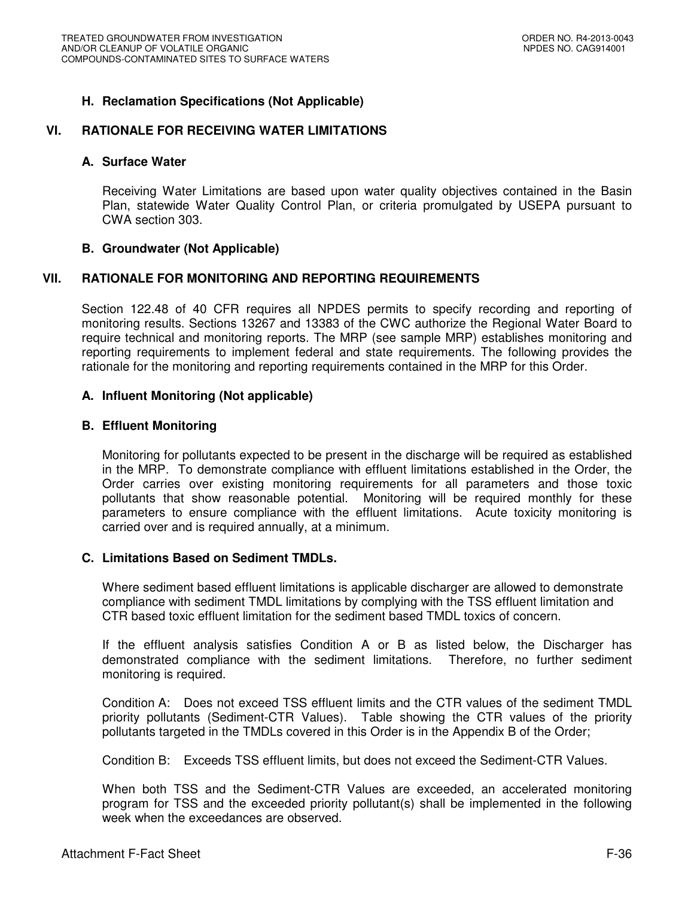# **H. Reclamation Specifications (Not Applicable)**

### **VI. RATIONALE FOR RECEIVING WATER LIMITATIONS**

#### **A. Surface Water**

Receiving Water Limitations are based upon water quality objectives contained in the Basin Plan, statewide Water Quality Control Plan, or criteria promulgated by USEPA pursuant to CWA section 303.

#### **B. Groundwater (Not Applicable)**

### **VII. RATIONALE FOR MONITORING AND REPORTING REQUIREMENTS**

Section 122.48 of 40 CFR requires all NPDES permits to specify recording and reporting of monitoring results. Sections 13267 and 13383 of the CWC authorize the Regional Water Board to require technical and monitoring reports. The MRP (see sample MRP) establishes monitoring and reporting requirements to implement federal and state requirements. The following provides the rationale for the monitoring and reporting requirements contained in the MRP for this Order.

#### **A. Influent Monitoring (Not applicable)**

#### **B. Effluent Monitoring**

Monitoring for pollutants expected to be present in the discharge will be required as established in the MRP. To demonstrate compliance with effluent limitations established in the Order, the Order carries over existing monitoring requirements for all parameters and those toxic pollutants that show reasonable potential. Monitoring will be required monthly for these parameters to ensure compliance with the effluent limitations. Acute toxicity monitoring is carried over and is required annually, at a minimum.

#### **C. Limitations Based on Sediment TMDLs.**

Where sediment based effluent limitations is applicable discharger are allowed to demonstrate compliance with sediment TMDL limitations by complying with the TSS effluent limitation and CTR based toxic effluent limitation for the sediment based TMDL toxics of concern.

If the effluent analysis satisfies Condition A or B as listed below, the Discharger has demonstrated compliance with the sediment limitations. Therefore, no further sediment monitoring is required.

Condition A: Does not exceed TSS effluent limits and the CTR values of the sediment TMDL priority pollutants (Sediment-CTR Values). Table showing the CTR values of the priority pollutants targeted in the TMDLs covered in this Order is in the Appendix B of the Order;

Condition B: Exceeds TSS effluent limits, but does not exceed the Sediment-CTR Values.

When both TSS and the Sediment-CTR Values are exceeded, an accelerated monitoring program for TSS and the exceeded priority pollutant(s) shall be implemented in the following week when the exceedances are observed.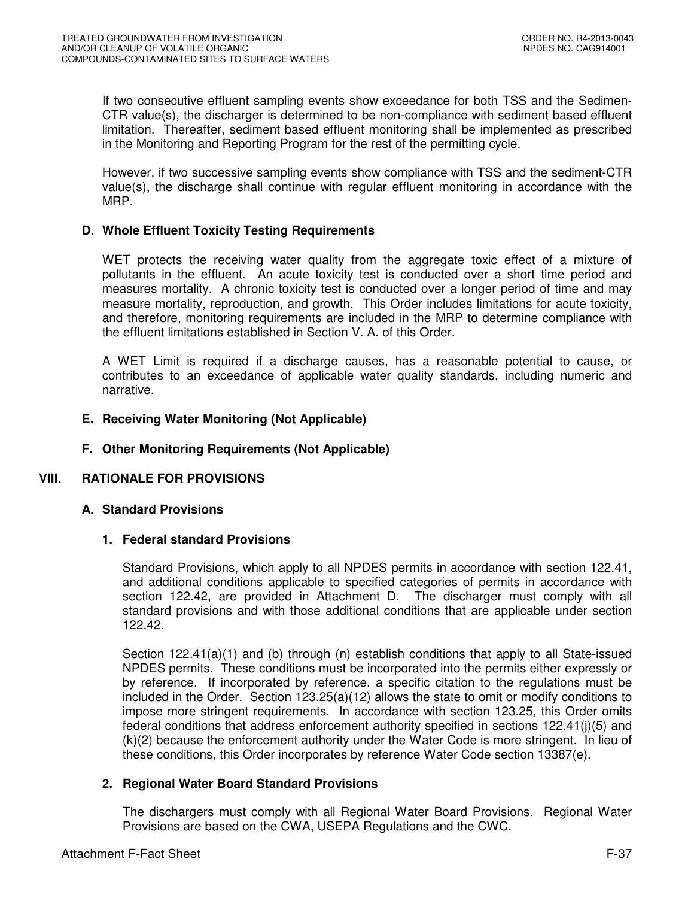If two consecutive effluent sampling events show exceedance for both TSS and the Sedimen-CTR value(s), the discharger is determined to be non-compliance with sediment based effluent limitation. Thereafter, sediment based effluent monitoring shall be implemented as prescribed in the Monitoring and Reporting Program for the rest of the permitting cycle.

However, if two successive sampling events show compliance with TSS and the sediment-CTR value(s), the discharge shall continue with regular effluent monitoring in accordance with the MRP.

# **D. Whole Effluent Toxicity Testing Requirements**

WET protects the receiving water quality from the aggregate toxic effect of a mixture of pollutants in the effluent. An acute toxicity test is conducted over a short time period and measures mortality. A chronic toxicity test is conducted over a longer period of time and may measure mortality, reproduction, and growth. This Order includes limitations for acute toxicity, and therefore, monitoring requirements are included in the MRP to determine compliance with the effluent limitations established in Section V. A. of this Order.

A WET Limit is required if a discharge causes, has a reasonable potential to cause, or contributes to an exceedance of applicable water quality standards, including numeric and narrative.

### **E. Receiving Water Monitoring (Not Applicable)**

### **F. Other Monitoring Requirements (Not Applicable)**

### **VIII. RATIONALE FOR PROVISIONS**

### **A. Standard Provisions**

### **1. Federal standard Provisions**

Standard Provisions, which apply to all NPDES permits in accordance with section 122.41, and additional conditions applicable to specified categories of permits in accordance with section 122.42, are provided in Attachment D. The discharger must comply with all standard provisions and with those additional conditions that are applicable under section 122.42.

Section 122.41(a)(1) and (b) through (n) establish conditions that apply to all State-issued NPDES permits. These conditions must be incorporated into the permits either expressly or by reference. If incorporated by reference, a specific citation to the regulations must be included in the Order. Section 123.25(a)(12) allows the state to omit or modify conditions to impose more stringent requirements. In accordance with section 123.25, this Order omits federal conditions that address enforcement authority specified in sections 122.41(j)(5) and (k)(2) because the enforcement authority under the Water Code is more stringent. In lieu of these conditions, this Order incorporates by reference Water Code section 13387(e).

### **2. Regional Water Board Standard Provisions**

The dischargers must comply with all Regional Water Board Provisions. Regional Water Provisions are based on the CWA, USEPA Regulations and the CWC.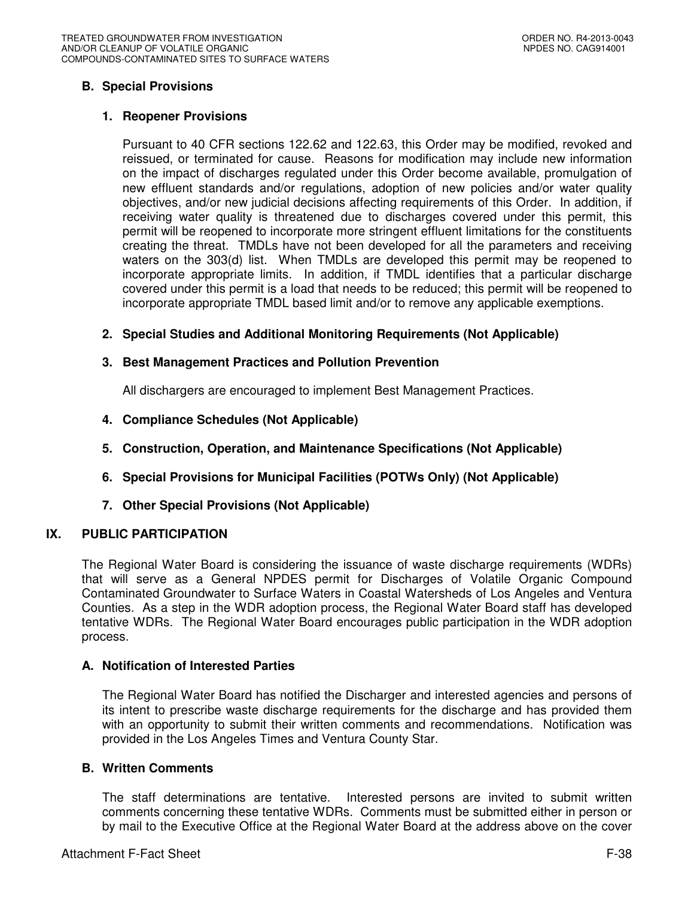# **B. Special Provisions**

### **1. Reopener Provisions**

Pursuant to 40 CFR sections 122.62 and 122.63, this Order may be modified, revoked and reissued, or terminated for cause. Reasons for modification may include new information on the impact of discharges regulated under this Order become available, promulgation of new effluent standards and/or regulations, adoption of new policies and/or water quality objectives, and/or new judicial decisions affecting requirements of this Order. In addition, if receiving water quality is threatened due to discharges covered under this permit, this permit will be reopened to incorporate more stringent effluent limitations for the constituents creating the threat. TMDLs have not been developed for all the parameters and receiving waters on the 303(d) list. When TMDLs are developed this permit may be reopened to incorporate appropriate limits. In addition, if TMDL identifies that a particular discharge covered under this permit is a load that needs to be reduced; this permit will be reopened to incorporate appropriate TMDL based limit and/or to remove any applicable exemptions.

# **2. Special Studies and Additional Monitoring Requirements (Not Applicable)**

### **3. Best Management Practices and Pollution Prevention**

All dischargers are encouraged to implement Best Management Practices.

- **4. Compliance Schedules (Not Applicable)**
- **5. Construction, Operation, and Maintenance Specifications (Not Applicable)**
- **6. Special Provisions for Municipal Facilities (POTWs Only) (Not Applicable)**
- **7. Other Special Provisions (Not Applicable)**

### **IX. PUBLIC PARTICIPATION**

The Regional Water Board is considering the issuance of waste discharge requirements (WDRs) that will serve as a General NPDES permit for Discharges of Volatile Organic Compound Contaminated Groundwater to Surface Waters in Coastal Watersheds of Los Angeles and Ventura Counties. As a step in the WDR adoption process, the Regional Water Board staff has developed tentative WDRs. The Regional Water Board encourages public participation in the WDR adoption process.

### **A. Notification of Interested Parties**

The Regional Water Board has notified the Discharger and interested agencies and persons of its intent to prescribe waste discharge requirements for the discharge and has provided them with an opportunity to submit their written comments and recommendations. Notification was provided in the Los Angeles Times and Ventura County Star.

### **B. Written Comments**

The staff determinations are tentative. Interested persons are invited to submit written comments concerning these tentative WDRs. Comments must be submitted either in person or by mail to the Executive Office at the Regional Water Board at the address above on the cover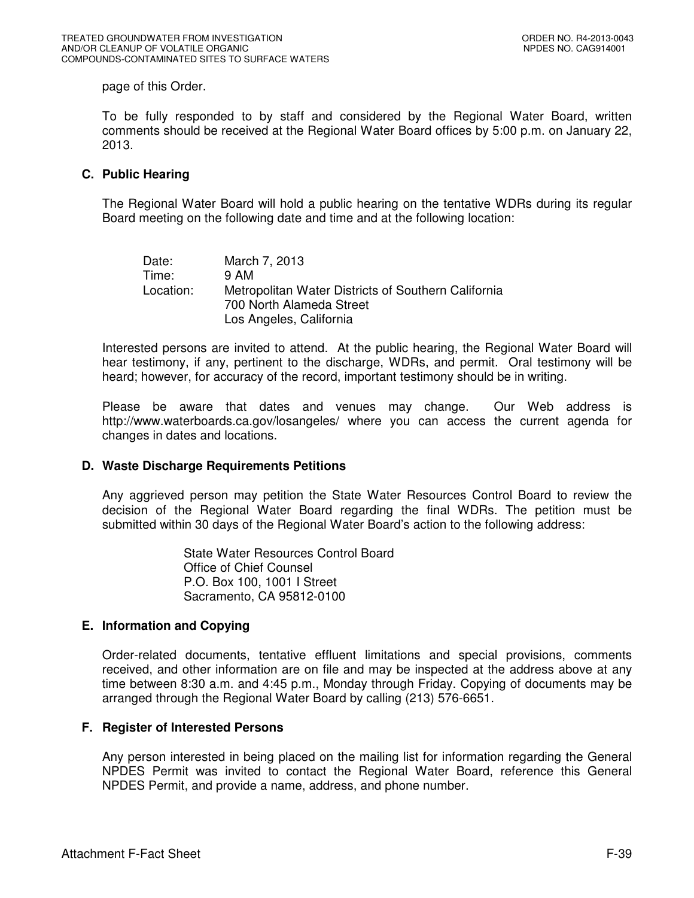page of this Order.

To be fully responded to by staff and considered by the Regional Water Board, written comments should be received at the Regional Water Board offices by 5:00 p.m. on January 22, 2013.

### **C. Public Hearing**

The Regional Water Board will hold a public hearing on the tentative WDRs during its regular Board meeting on the following date and time and at the following location:

| Date:     | March 7, 2013                                       |
|-----------|-----------------------------------------------------|
| Time:     | 9 AM                                                |
| Location: | Metropolitan Water Districts of Southern California |
|           | 700 North Alameda Street                            |
|           | Los Angeles, California                             |

Interested persons are invited to attend. At the public hearing, the Regional Water Board will hear testimony, if any, pertinent to the discharge, WDRs, and permit. Oral testimony will be heard; however, for accuracy of the record, important testimony should be in writing.

Please be aware that dates and venues may change. Our Web address is http://www.waterboards.ca.gov/losangeles/ where you can access the current agenda for changes in dates and locations.

### **D. Waste Discharge Requirements Petitions**

Any aggrieved person may petition the State Water Resources Control Board to review the decision of the Regional Water Board regarding the final WDRs. The petition must be submitted within 30 days of the Regional Water Board's action to the following address:

> State Water Resources Control Board Office of Chief Counsel P.O. Box 100, 1001 I Street Sacramento, CA 95812-0100

# **E. Information and Copying**

Order-related documents, tentative effluent limitations and special provisions, comments received, and other information are on file and may be inspected at the address above at any time between 8:30 a.m. and 4:45 p.m., Monday through Friday. Copying of documents may be arranged through the Regional Water Board by calling (213) 576-6651.

### **F. Register of Interested Persons**

Any person interested in being placed on the mailing list for information regarding the General NPDES Permit was invited to contact the Regional Water Board, reference this General NPDES Permit, and provide a name, address, and phone number.